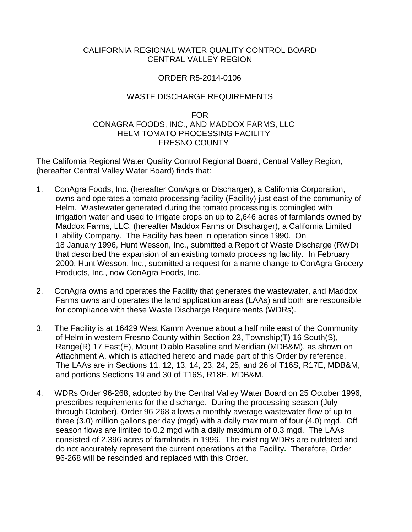# CALIFORNIA REGIONAL WATER QUALITY CONTROL BOARD CENTRAL VALLEY REGION

# ORDER R5-2014-0106

# WASTE DISCHARGE REQUIREMENTS

### FOR CONAGRA FOODS, INC., AND MADDOX FARMS, LLC HELM TOMATO PROCESSING FACILITY FRESNO COUNTY

The California Regional Water Quality Control Regional Board, Central Valley Region, (hereafter Central Valley Water Board) finds that:

- 1. ConAgra Foods, Inc. (hereafter ConAgra or Discharger), a California Corporation, owns and operates a tomato processing facility (Facility) just east of the community of Helm. Wastewater generated during the tomato processing is comingled with irrigation water and used to irrigate crops on up to 2,646 acres of farmlands owned by Maddox Farms, LLC, (hereafter Maddox Farms or Discharger), a California Limited Liability Company. The Facility has been in operation since 1990. On 18 January 1996, Hunt Wesson, Inc., submitted a Report of Waste Discharge (RWD) that described the expansion of an existing tomato processing facility. In February 2000, Hunt Wesson, Inc., submitted a request for a name change to ConAgra Grocery Products, Inc., now ConAgra Foods, Inc.
- 2. ConAgra owns and operates the Facility that generates the wastewater, and Maddox Farms owns and operates the land application areas (LAAs) and both are responsible for compliance with these Waste Discharge Requirements (WDRs).
- 3. The Facility is at 16429 West Kamm Avenue about a half mile east of the Community of Helm in western Fresno County within Section 23, Township(T) 16 South(S), Range(R) 17 East(E), Mount Diablo Baseline and Meridian (MDB&M), as shown on Attachment A, which is attached hereto and made part of this Order by reference. The LAAs are in Sections 11, 12, 13, 14, 23, 24, 25, and 26 of T16S, R17E, MDB&M, and portions Sections 19 and 30 of T16S, R18E, MDB&M.
- 4. WDRs Order 96-268, adopted by the Central Valley Water Board on 25 October 1996, prescribes requirements for the discharge. During the processing season (July through October), Order 96-268 allows a monthly average wastewater flow of up to three (3.0) million gallons per day (mgd) with a daily maximum of four (4.0) mgd. Off season flows are limited to 0.2 mgd with a daily maximum of 0.3 mgd. The LAAs consisted of 2,396 acres of farmlands in 1996. The existing WDRs are outdated and do not accurately represent the current operations at the Facility**.** Therefore, Order 96-268 will be rescinded and replaced with this Order.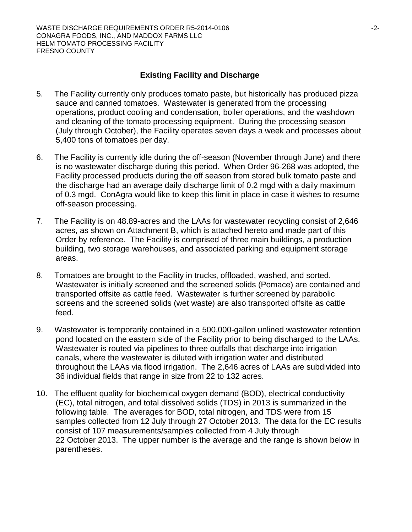# **Existing Facility and Discharge**

- 5. The Facility currently only produces tomato paste, but historically has produced pizza sauce and canned tomatoes. Wastewater is generated from the processing operations, product cooling and condensation, boiler operations, and the washdown and cleaning of the tomato processing equipment. During the processing season (July through October), the Facility operates seven days a week and processes about 5,400 tons of tomatoes per day.
- 6. The Facility is currently idle during the off-season (November through June) and there is no wastewater discharge during this period. When Order 96-268 was adopted, the Facility processed products during the off season from stored bulk tomato paste and the discharge had an average daily discharge limit of 0.2 mgd with a daily maximum of 0.3 mgd. ConAgra would like to keep this limit in place in case it wishes to resume off-season processing.
- 7. The Facility is on 48.89-acres and the LAAs for wastewater recycling consist of 2,646 acres, as shown on Attachment B, which is attached hereto and made part of this Order by reference. The Facility is comprised of three main buildings, a production building, two storage warehouses, and associated parking and equipment storage areas.
- 8. Tomatoes are brought to the Facility in trucks, offloaded, washed, and sorted. Wastewater is initially screened and the screened solids (Pomace) are contained and transported offsite as cattle feed. Wastewater is further screened by parabolic screens and the screened solids (wet waste) are also transported offsite as cattle feed.
- 9. Wastewater is temporarily contained in a 500,000-gallon unlined wastewater retention pond located on the eastern side of the Facility prior to being discharged to the LAAs. Wastewater is routed via pipelines to three outfalls that discharge into irrigation canals, where the wastewater is diluted with irrigation water and distributed throughout the LAAs via flood irrigation. The 2,646 acres of LAAs are subdivided into 36 individual fields that range in size from 22 to 132 acres.
- 10. The effluent quality for biochemical oxygen demand (BOD), electrical conductivity (EC), total nitrogen, and total dissolved solids (TDS) in 2013 is summarized in the following table. The averages for BOD, total nitrogen, and TDS were from 15 samples collected from 12 July through 27 October 2013. The data for the EC results consist of 107 measurements/samples collected from 4 July through 22 October 2013. The upper number is the average and the range is shown below in parentheses.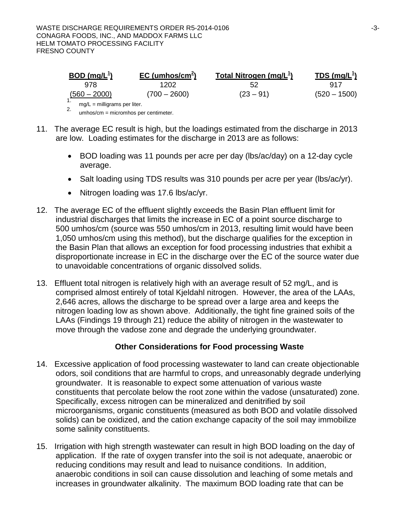| $BOD$ (mg/L <sup>1</sup> )     | EC (umhos/cm <sup>2</sup> ) | Total Nitrogen (mg/ $L^1$ ) | $\overline{IDS}$ (mg/L <sup>1</sup> ) |
|--------------------------------|-----------------------------|-----------------------------|---------------------------------------|
| 978                            | 1202                        | 52                          | 917                                   |
| $(560 - 2000)$                 | $(700 - 2600)$              | $(23 - 91)$                 | $(520 - 1500)$                        |
| $mg/L =$ milligrams per liter. |                             |                             |                                       |

2. umhos/cm = micromhos per centimeter.

- 11. The average EC result is high, but the loadings estimated from the discharge in 2013 are low. Loading estimates for the discharge in 2013 are as follows:
	- BOD loading was 11 pounds per acre per day (lbs/ac/day) on a 12-day cycle average.
	- Salt loading using TDS results was 310 pounds per acre per year (lbs/ac/yr).
	- Nitrogen loading was 17.6 lbs/ac/yr.
- 12. The average EC of the effluent slightly exceeds the Basin Plan effluent limit for industrial discharges that limits the increase in EC of a point source discharge to 500 umhos/cm (source was 550 umhos/cm in 2013, resulting limit would have been 1,050 umhos/cm using this method), but the discharge qualifies for the exception in the Basin Plan that allows an exception for food processing industries that exhibit a disproportionate increase in EC in the discharge over the EC of the source water due to unavoidable concentrations of organic dissolved solids.
- 13. Effluent total nitrogen is relatively high with an average result of 52 mg/L, and is comprised almost entirely of total Kjeldahl nitrogen. However, the area of the LAAs, 2,646 acres, allows the discharge to be spread over a large area and keeps the nitrogen loading low as shown above. Additionally, the tight fine grained soils of the LAAs (Findings 19 through 21) reduce the ability of nitrogen in the wastewater to move through the vadose zone and degrade the underlying groundwater.

# **Other Considerations for Food processing Waste**

- 14. Excessive application of food processing wastewater to land can create objectionable odors, soil conditions that are harmful to crops, and unreasonably degrade underlying groundwater. It is reasonable to expect some attenuation of various waste constituents that percolate below the root zone within the vadose (unsaturated) zone. Specifically, excess nitrogen can be mineralized and denitrified by soil microorganisms, organic constituents (measured as both BOD and volatile dissolved solids) can be oxidized, and the cation exchange capacity of the soil may immobilize some salinity constituents.
- 15. Irrigation with high strength wastewater can result in high BOD loading on the day of application. If the rate of oxygen transfer into the soil is not adequate, anaerobic or reducing conditions may result and lead to nuisance conditions. In addition, anaerobic conditions in soil can cause dissolution and leaching of some metals and increases in groundwater alkalinity. The maximum BOD loading rate that can be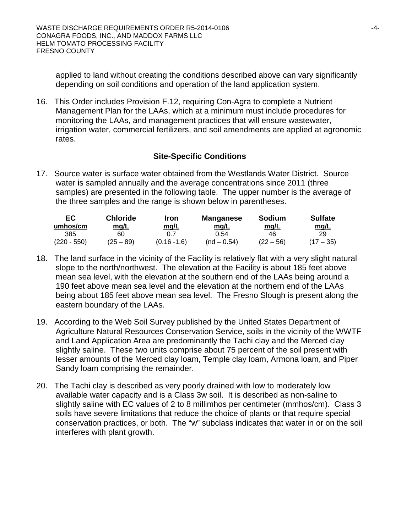applied to land without creating the conditions described above can vary significantly depending on soil conditions and operation of the land application system.

16. This Order includes Provision F.12, requiring Con-Agra to complete a Nutrient Management Plan for the LAAs, which at a minimum must include procedures for monitoring the LAAs, and management practices that will ensure wastewater, irrigation water, commercial fertilizers, and soil amendments are applied at agronomic rates.

# **Site-Specific Conditions**

17. Source water is surface water obtained from the Westlands Water District. Source water is sampled annually and the average concentrations since 2011 (three samples) are presented in the following table. The upper number is the average of the three samples and the range is shown below in parentheses.

| EC.<br>umhos/cm | <b>Chloride</b><br>mq/L | Iron<br>mq/L   | <b>Manganese</b><br>mg/L | <b>Sodium</b><br>mq/L | <b>Sulfate</b><br><u>mg/L</u> |
|-----------------|-------------------------|----------------|--------------------------|-----------------------|-------------------------------|
| 385             | 60                      | በ 7            | 0.54                     | 46                    | 29                            |
| $(220 - 550)$   | (25 – 89)               | $(0.16 - 1.6)$ | $(nd - 0.54)$            | $(22 - 56)$           | $(17 - 35)$                   |

- 18. The land surface in the vicinity of the Facility is relatively flat with a very slight natural slope to the north/northwest. The elevation at the Facility is about 185 feet above mean sea level, with the elevation at the southern end of the LAAs being around a 190 feet above mean sea level and the elevation at the northern end of the LAAs being about 185 feet above mean sea level. The Fresno Slough is present along the eastern boundary of the LAAs.
- 19. According to the Web Soil Survey published by the United States Department of Agriculture Natural Resources Conservation Service, soils in the vicinity of the WWTF and Land Application Area are predominantly the Tachi clay and the Merced clay slightly saline. These two units comprise about 75 percent of the soil present with lesser amounts of the Merced clay loam, Temple clay loam, Armona loam, and Piper Sandy loam comprising the remainder.
- 20. The Tachi clay is described as very poorly drained with low to moderately low available water capacity and is a Class 3w soil. It is described as non-saline to slightly saline with EC values of 2 to 8 millimhos per centimeter (mmhos/cm). Class 3 soils have severe limitations that reduce the choice of plants or that require special conservation practices, or both. The "w" subclass indicates that water in or on the soil interferes with plant growth.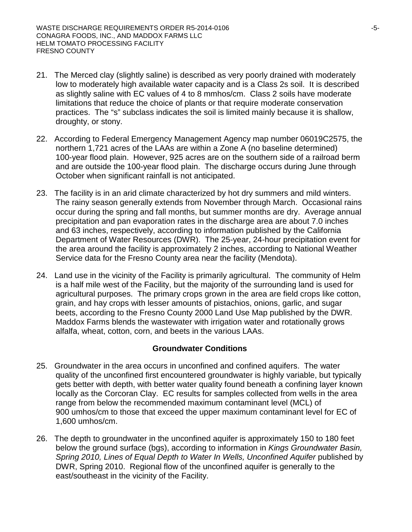- 21. The Merced clay (slightly saline) is described as very poorly drained with moderately low to moderately high available water capacity and is a Class 2s soil. It is described as slightly saline with EC values of 4 to 8 mmhos/cm. Class 2 soils have moderate limitations that reduce the choice of plants or that require moderate conservation practices. The "s" subclass indicates the soil is limited mainly because it is shallow, droughty, or stony.
- 22. According to Federal Emergency Management Agency map number 06019C2575, the northern 1,721 acres of the LAAs are within a Zone A (no baseline determined) 100-year flood plain. However, 925 acres are on the southern side of a railroad berm and are outside the 100-year flood plain. The discharge occurs during June through October when significant rainfall is not anticipated.
- 23. The facility is in an arid climate characterized by hot dry summers and mild winters. The rainy season generally extends from November through March. Occasional rains occur during the spring and fall months, but summer months are dry. Average annual precipitation and pan evaporation rates in the discharge area are about 7.0 inches and 63 inches, respectively, according to information published by the California Department of Water Resources (DWR). The 25-year, 24-hour precipitation event for the area around the facility is approximately 2 inches, according to National Weather Service data for the Fresno County area near the facility (Mendota).
- 24. Land use in the vicinity of the Facility is primarily agricultural. The community of Helm is a half mile west of the Facility, but the majority of the surrounding land is used for agricultural purposes. The primary crops grown in the area are field crops like cotton, grain, and hay crops with lesser amounts of pistachios, onions, garlic, and sugar beets, according to the Fresno County 2000 Land Use Map published by the DWR. Maddox Farms blends the wastewater with irrigation water and rotationally grows alfalfa, wheat, cotton, corn, and beets in the various LAAs.

# **Groundwater Conditions**

- 25. Groundwater in the area occurs in unconfined and confined aquifers. The water quality of the unconfined first encountered groundwater is highly variable, but typically gets better with depth, with better water quality found beneath a confining layer known locally as the Corcoran Clay. EC results for samples collected from wells in the area range from below the recommended maximum contaminant level (MCL) of 900 umhos/cm to those that exceed the upper maximum contaminant level for EC of 1,600 umhos/cm.
- 26. The depth to groundwater in the unconfined aquifer is approximately 150 to 180 feet below the ground surface (bgs), according to information in *Kings Groundwater Basin, Spring 2010, Lines of Equal Depth to Water In Wells, Unconfined Aquifer* published by DWR, Spring 2010. Regional flow of the unconfined aquifer is generally to the east/southeast in the vicinity of the Facility.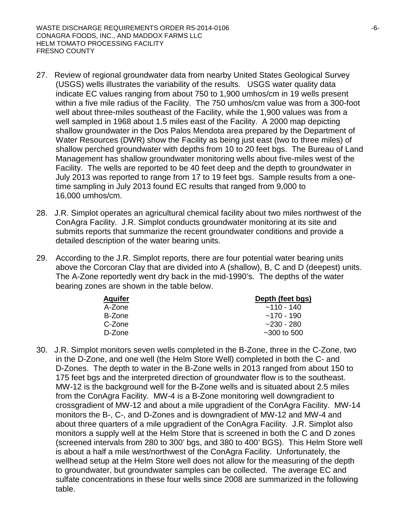- 27. Review of regional groundwater data from nearby United States Geological Survey (USGS) wells illustrates the variability of the results. USGS water quality data indicate EC values ranging from about 750 to 1,900 umhos/cm in 19 wells present within a five mile radius of the Facility. The 750 umhos/cm value was from a 300-foot well about three-miles southeast of the Facility, while the 1,900 values was from a well sampled in 1968 about 1.5 miles east of the Facility. A 2000 map depicting shallow groundwater in the Dos Palos Mendota area prepared by the Department of Water Resources (DWR) show the Facility as being just east (two to three miles) of shallow perched groundwater with depths from 10 to 20 feet bgs. The Bureau of Land Management has shallow groundwater monitoring wells about five-miles west of the Facility. The wells are reported to be 40 feet deep and the depth to groundwater in July 2013 was reported to range from 17 to 19 feet bgs. Sample results from a onetime sampling in July 2013 found EC results that ranged from 9,000 to 16,000 umhos/cm.
- 28. J.R. Simplot operates an agricultural chemical facility about two miles northwest of the ConAgra Facility. J.R. Simplot conducts groundwater monitoring at its site and submits reports that summarize the recent groundwater conditions and provide a detailed description of the water bearing units.
- 29. According to the J.R. Simplot reports, there are four potential water bearing units above the Corcoran Clay that are divided into A (shallow), B, C and D (deepest) units. The A-Zone reportedly went dry back in the mid-1990's. The depths of the water bearing zones are shown in the table below.

| <b>Aquifer</b> | Depth (feet bgs)  |
|----------------|-------------------|
| A-Zone         | $~110 - 140$      |
| B-Zone         | $~170 - 190$      |
| C-Zone         | $-230 - 280$      |
| D-Zone         | $\sim$ 300 to 500 |

30. J.R. Simplot monitors seven wells completed in the B-Zone, three in the C-Zone, two in the D-Zone, and one well (the Helm Store Well) completed in both the C- and D-Zones. The depth to water in the B-Zone wells in 2013 ranged from about 150 to 175 feet bgs and the interpreted direction of groundwater flow is to the southeast. MW-12 is the background well for the B-Zone wells and is situated about 2.5 miles from the ConAgra Facility. MW-4 is a B-Zone monitoring well downgradient to crossgradient of MW-12 and about a mile upgradient of the ConAgra Facility. MW-14 monitors the B-, C-, and D-Zones and is downgradient of MW-12 and MW-4 and about three quarters of a mile upgradient of the ConAgra Facility. J.R. Simplot also monitors a supply well at the Helm Store that is screened in both the C and D zones (screened intervals from 280 to 300' bgs, and 380 to 400' BGS). This Helm Store well is about a half a mile west/northwest of the ConAgra Facility. Unfortunately, the wellhead setup at the Helm Store well does not allow for the measuring of the depth to groundwater, but groundwater samples can be collected. The average EC and sulfate concentrations in these four wells since 2008 are summarized in the following table.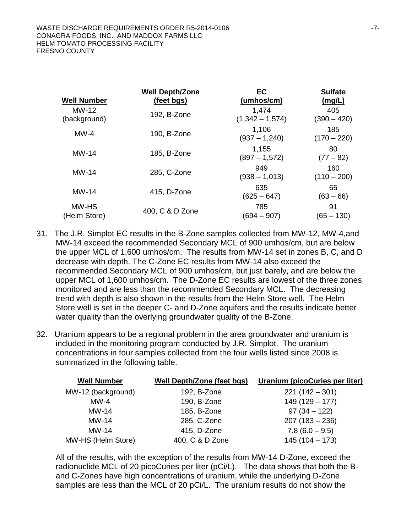| <b>Well Number</b>    | <b>Well Depth/Zone</b><br>(feet bgs) | EC<br>(umhos/cm)           | <b>Sulfate</b><br>(mg/L) |
|-----------------------|--------------------------------------|----------------------------|--------------------------|
| MW-12<br>(background) | 192, B-Zone                          | 1,474<br>$(1,342 - 1,574)$ | 405<br>$(390 - 420)$     |
| $MW-4$                | 190, B-Zone                          | 1,106<br>$(937 - 1,240)$   | 185<br>$(170 - 220)$     |
| $MW-14$               | 185, B-Zone                          | 1,155<br>$(897 - 1,572)$   | 80<br>$(77 - 82)$        |
| $MW-14$               | 285, C-Zone                          | 949<br>$(938 - 1,013)$     | 160<br>$(110 - 200)$     |
| $MW-14$               | 415, D-Zone                          | 635<br>$(625 - 647)$       | 65<br>$(63 - 66)$        |
| MW-HS<br>(Helm Store) | 400, C & D Zone                      | 785<br>(694 – 907)         | 91<br>(65 – 130)         |

- 31. The J.R. Simplot EC results in the B-Zone samples collected from MW-12, MW-4,and MW-14 exceed the recommended Secondary MCL of 900 umhos/cm, but are below the upper MCL of 1,600 umhos/cm. The results from MW-14 set in zones B, C, and D decrease with depth. The C-Zone EC results from MW-14 also exceed the recommended Secondary MCL of 900 umhos/cm, but just barely, and are below the upper MCL of 1,600 umhos/cm. The D-Zone EC results are lowest of the three zones monitored and are less than the recommended Secondary MCL. The decreasing trend with depth is also shown in the results from the Helm Store well. The Helm Store well is set in the deeper C- and D-Zone aquifers and the results indicate better water quality than the overlying groundwater quality of the B-Zone.
- 32. Uranium appears to be a regional problem in the area groundwater and uranium is included in the monitoring program conducted by J.R. Simplot. The uranium concentrations in four samples collected from the four wells listed since 2008 is summarized in the following table.

| <b>Well Number</b> | <b>Well Depth/Zone (feet bgs)</b> | Uranium (picoCuries per liter) |
|--------------------|-----------------------------------|--------------------------------|
| MW-12 (background) | 192, B-Zone                       | $221(142 - 301)$               |
| $MW-4$             | 190, B-Zone                       | $149(129 - 177)$               |
| $MW-14$            | 185, B-Zone                       | $97(34 - 122)$                 |
| $MW-14$            | 285, C-Zone                       | $207(183 - 236)$               |
| $MW-14$            | 415, D-Zone                       | $7.8(6.0 - 9.5)$               |
| MW-HS (Helm Store) | 400, C & D Zone                   | $145(104 - 173)$               |

All of the results, with the exception of the results from MW-14 D-Zone, exceed the radionuclide MCL of 20 picoCuries per liter (pCi/L). The data shows that both the Band C-Zones have high concentrations of uranium, while the underlying D-Zone samples are less than the MCL of 20 pCi/L. The uranium results do not show the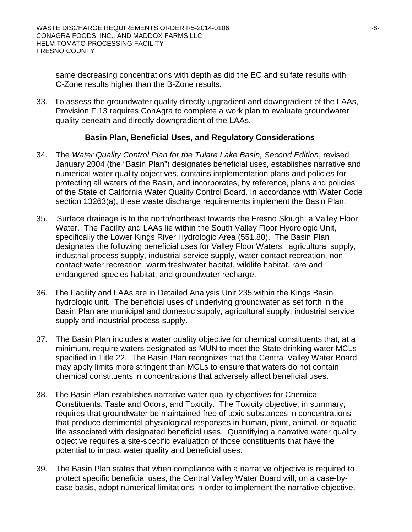same decreasing concentrations with depth as did the EC and sulfate results with C-Zone results higher than the B-Zone results.

33. To assess the groundwater quality directly upgradient and downgradient of the LAAs, Provision F.13 requires ConAgra to complete a work plan to evaluate groundwater quality beneath and directly downgradient of the LAAs.

# **Basin Plan, Beneficial Uses, and Regulatory Considerations**

- 34. The *Water Quality Control Plan for the Tulare Lake Basin, Second Edition*, revised January 2004 (the "Basin Plan") designates beneficial uses, establishes narrative and numerical water quality objectives, contains implementation plans and policies for protecting all waters of the Basin, and incorporates, by reference, plans and policies of the State of California Water Quality Control Board. In accordance with Water Code section 13263(a), these waste discharge requirements implement the Basin Plan.
- 35. Surface drainage is to the north/northeast towards the Fresno Slough, a Valley Floor Water. The Facility and LAAs lie within the South Valley Floor Hydrologic Unit, specifically the Lower Kings River Hydrologic Area (551.80). The Basin Plan designates the following beneficial uses for Valley Floor Waters: agricultural supply, industrial process supply, industrial service supply, water contact recreation, noncontact water recreation, warm freshwater habitat, wildlife habitat, rare and endangered species habitat, and groundwater recharge.
- 36. The Facility and LAAs are in Detailed Analysis Unit 235 within the Kings Basin hydrologic unit. The beneficial uses of underlying groundwater as set forth in the Basin Plan are municipal and domestic supply, agricultural supply, industrial service supply and industrial process supply.
- 37. The Basin Plan includes a water quality objective for chemical constituents that, at a minimum, require waters designated as MUN to meet the State drinking water MCLs specified in Title 22. The Basin Plan recognizes that the Central Valley Water Board may apply limits more stringent than MCLs to ensure that waters do not contain chemical constituents in concentrations that adversely affect beneficial uses.
- 38. The Basin Plan establishes narrative water quality objectives for Chemical Constituents, Taste and Odors, and Toxicity. The Toxicity objective, in summary, requires that groundwater be maintained free of toxic substances in concentrations that produce detrimental physiological responses in human, plant, animal, or aquatic life associated with designated beneficial uses. Quantifying a narrative water quality objective requires a site-specific evaluation of those constituents that have the potential to impact water quality and beneficial uses.
- 39. The Basin Plan states that when compliance with a narrative objective is required to protect specific beneficial uses, the Central Valley Water Board will, on a case-bycase basis, adopt numerical limitations in order to implement the narrative objective.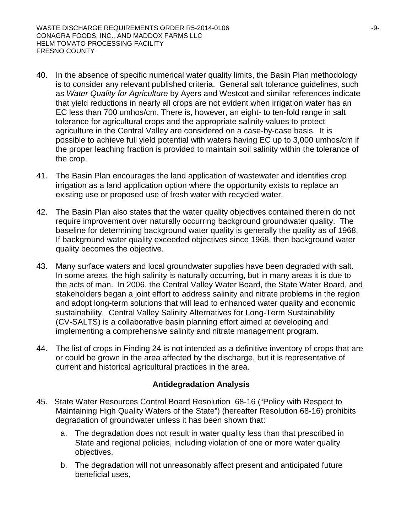- 40. In the absence of specific numerical water quality limits, the Basin Plan methodology is to consider any relevant published criteria. General salt tolerance guidelines, such as *Water Quality for Agriculture* by Ayers and Westcot and similar references indicate that yield reductions in nearly all crops are not evident when irrigation water has an EC less than 700 umhos/cm. There is, however, an eight- to ten-fold range in salt tolerance for agricultural crops and the appropriate salinity values to protect agriculture in the Central Valley are considered on a case-by-case basis. It is possible to achieve full yield potential with waters having EC up to 3,000 umhos/cm if the proper leaching fraction is provided to maintain soil salinity within the tolerance of the crop.
- 41. The Basin Plan encourages the land application of wastewater and identifies crop irrigation as a land application option where the opportunity exists to replace an existing use or proposed use of fresh water with recycled water.
- 42. The Basin Plan also states that the water quality objectives contained therein do not require improvement over naturally occurring background groundwater quality. The baseline for determining background water quality is generally the quality as of 1968. If background water quality exceeded objectives since 1968, then background water quality becomes the objective.
- 43. Many surface waters and local groundwater supplies have been degraded with salt. In some areas, the high salinity is naturally occurring, but in many areas it is due to the acts of man. In 2006, the Central Valley Water Board, the State Water Board, and stakeholders began a joint effort to address salinity and nitrate problems in the region and adopt long-term solutions that will lead to enhanced water quality and economic sustainability. Central Valley Salinity Alternatives for Long-Term Sustainability (CV-SALTS) is a collaborative basin planning effort aimed at developing and implementing a comprehensive salinity and nitrate management program.
- 44. The list of crops in Finding 24 is not intended as a definitive inventory of crops that are or could be grown in the area affected by the discharge, but it is representative of current and historical agricultural practices in the area.

# **Antidegradation Analysis**

- 45. State Water Resources Control Board Resolution 68-16 ("Policy with Respect to Maintaining High Quality Waters of the State") (hereafter Resolution 68-16) prohibits degradation of groundwater unless it has been shown that:
	- a. The degradation does not result in water quality less than that prescribed in State and regional policies, including violation of one or more water quality objectives,
	- b. The degradation will not unreasonably affect present and anticipated future beneficial uses,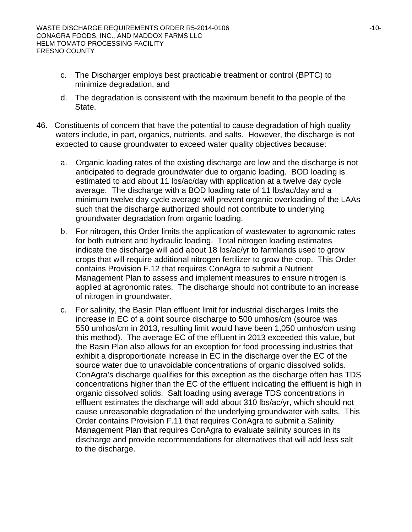- c. The Discharger employs best practicable treatment or control (BPTC) to minimize degradation, and
- d. The degradation is consistent with the maximum benefit to the people of the State.
- 46. Constituents of concern that have the potential to cause degradation of high quality waters include, in part, organics, nutrients, and salts. However, the discharge is not expected to cause groundwater to exceed water quality objectives because:
	- a. Organic loading rates of the existing discharge are low and the discharge is not anticipated to degrade groundwater due to organic loading. BOD loading is estimated to add about 11 lbs/ac/day with application at a twelve day cycle average. The discharge with a BOD loading rate of 11 lbs/ac/day and a minimum twelve day cycle average will prevent organic overloading of the LAAs such that the discharge authorized should not contribute to underlying groundwater degradation from organic loading.
	- b. For nitrogen, this Order limits the application of wastewater to agronomic rates for both nutrient and hydraulic loading. Total nitrogen loading estimates indicate the discharge will add about 18 lbs/ac/yr to farmlands used to grow crops that will require additional nitrogen fertilizer to grow the crop. This Order contains Provision F.12 that requires ConAgra to submit a Nutrient Management Plan to assess and implement measures to ensure nitrogen is applied at agronomic rates. The discharge should not contribute to an increase of nitrogen in groundwater.
	- c. For salinity, the Basin Plan effluent limit for industrial discharges limits the increase in EC of a point source discharge to 500 umhos/cm (source was 550 umhos/cm in 2013, resulting limit would have been 1,050 umhos/cm using this method). The average EC of the effluent in 2013 exceeded this value, but the Basin Plan also allows for an exception for food processing industries that exhibit a disproportionate increase in EC in the discharge over the EC of the source water due to unavoidable concentrations of organic dissolved solids. ConAgra's discharge qualifies for this exception as the discharge often has TDS concentrations higher than the EC of the effluent indicating the effluent is high in organic dissolved solids. Salt loading using average TDS concentrations in effluent estimates the discharge will add about 310 lbs/ac/yr, which should not cause unreasonable degradation of the underlying groundwater with salts. This Order contains Provision F.11 that requires ConAgra to submit a Salinity Management Plan that requires ConAgra to evaluate salinity sources in its discharge and provide recommendations for alternatives that will add less salt to the discharge.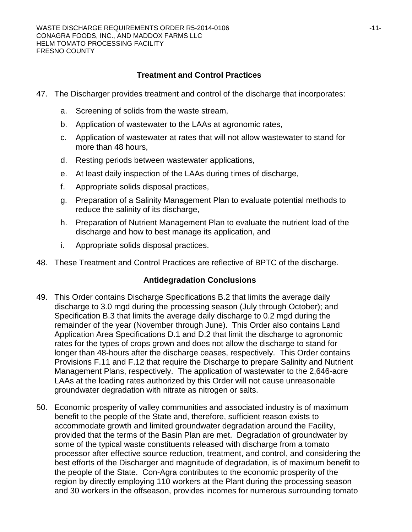# **Treatment and Control Practices**

- 47. The Discharger provides treatment and control of the discharge that incorporates:
	- a. Screening of solids from the waste stream,
	- b. Application of wastewater to the LAAs at agronomic rates,
	- c. Application of wastewater at rates that will not allow wastewater to stand for more than 48 hours,
	- d. Resting periods between wastewater applications,
	- e. At least daily inspection of the LAAs during times of discharge,
	- f. Appropriate solids disposal practices,
	- g. Preparation of a Salinity Management Plan to evaluate potential methods to reduce the salinity of its discharge,
	- h. Preparation of Nutrient Management Plan to evaluate the nutrient load of the discharge and how to best manage its application, and
	- i. Appropriate solids disposal practices.
- 48. These Treatment and Control Practices are reflective of BPTC of the discharge.

# **Antidegradation Conclusions**

- 49. This Order contains Discharge Specifications B.2 that limits the average daily discharge to 3.0 mgd during the processing season (July through October); and Specification B.3 that limits the average daily discharge to 0.2 mgd during the remainder of the year (November through June). This Order also contains Land Application Area Specifications D.1 and D.2 that limit the discharge to agronomic rates for the types of crops grown and does not allow the discharge to stand for longer than 48-hours after the discharge ceases, respectively. This Order contains Provisions F.11 and F.12 that require the Discharge to prepare Salinity and Nutrient Management Plans, respectively. The application of wastewater to the 2,646-acre LAAs at the loading rates authorized by this Order will not cause unreasonable groundwater degradation with nitrate as nitrogen or salts.
- 50. Economic prosperity of valley communities and associated industry is of maximum benefit to the people of the State and, therefore, sufficient reason exists to accommodate growth and limited groundwater degradation around the Facility, provided that the terms of the Basin Plan are met. Degradation of groundwater by some of the typical waste constituents released with discharge from a tomato processor after effective source reduction, treatment, and control, and considering the best efforts of the Discharger and magnitude of degradation, is of maximum benefit to the people of the State. Con-Agra contributes to the economic prosperity of the region by directly employing 110 workers at the Plant during the processing season and 30 workers in the offseason, provides incomes for numerous surrounding tomato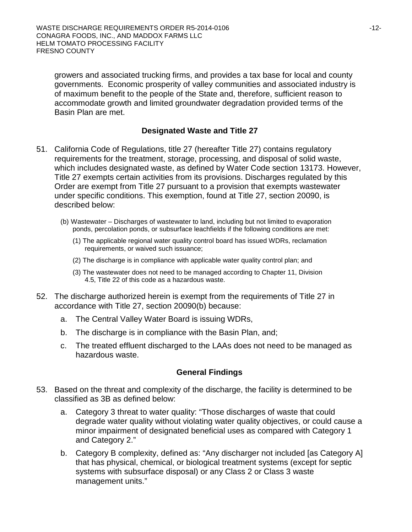growers and associated trucking firms, and provides a tax base for local and county governments. Economic prosperity of valley communities and associated industry is of maximum benefit to the people of the State and, therefore, sufficient reason to accommodate growth and limited groundwater degradation provided terms of the Basin Plan are met.

# **Designated Waste and Title 27**

- 51. California Code of Regulations, title 27 (hereafter Title 27) contains regulatory requirements for the treatment, storage, processing, and disposal of solid waste, which includes designated waste, as defined by Water Code section 13173. However, Title 27 exempts certain activities from its provisions. Discharges regulated by this Order are exempt from Title 27 pursuant to a provision that exempts wastewater under specific conditions. This exemption, found at Title 27, section 20090, is described below:
	- (b) Wastewater Discharges of wastewater to land, including but not limited to evaporation ponds, percolation ponds, or subsurface leachfields if the following conditions are met:
		- (1) The applicable regional water quality control board has issued WDRs, reclamation requirements, or waived such issuance;
		- (2) The discharge is in compliance with applicable water quality control plan; and
		- (3) The wastewater does not need to be managed according to Chapter 11, Division 4.5, Title 22 of this code as a hazardous waste.
- 52. The discharge authorized herein is exempt from the requirements of Title 27 in accordance with Title 27, section 20090(b) because:
	- a. The Central Valley Water Board is issuing WDRs,
	- b. The discharge is in compliance with the Basin Plan, and;
	- c. The treated effluent discharged to the LAAs does not need to be managed as hazardous waste.

# **General Findings**

- 53. Based on the threat and complexity of the discharge, the facility is determined to be classified as 3B as defined below:
	- a. Category 3 threat to water quality: "Those discharges of waste that could degrade water quality without violating water quality objectives, or could cause a minor impairment of designated beneficial uses as compared with Category 1 and Category 2."
	- b. Category B complexity, defined as: "Any discharger not included [as Category A] that has physical, chemical, or biological treatment systems (except for septic systems with subsurface disposal) or any Class 2 or Class 3 waste management units."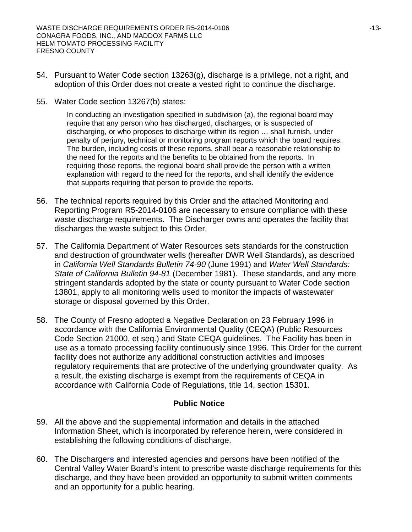- 54. Pursuant to Water Code section 13263(g), discharge is a privilege, not a right, and adoption of this Order does not create a vested right to continue the discharge.
- 55. Water Code section 13267(b) states:

In conducting an investigation specified in subdivision (a), the regional board may require that any person who has discharged, discharges, or is suspected of discharging, or who proposes to discharge within its region … shall furnish, under penalty of perjury, technical or monitoring program reports which the board requires. The burden, including costs of these reports, shall bear a reasonable relationship to the need for the reports and the benefits to be obtained from the reports. In requiring those reports, the regional board shall provide the person with a written explanation with regard to the need for the reports, and shall identify the evidence that supports requiring that person to provide the reports.

- 56. The technical reports required by this Order and the attached Monitoring and Reporting Program R5-2014-0106 are necessary to ensure compliance with these waste discharge requirements. The Discharger owns and operates the facility that discharges the waste subject to this Order.
- 57. The California Department of Water Resources sets standards for the construction and destruction of groundwater wells (hereafter DWR Well Standards), as described in *California Well Standards Bulletin 74-90* (June 1991) and *Water Well Standards: State of California Bulletin 94-81* (December 1981). These standards, and any more stringent standards adopted by the state or county pursuant to Water Code section 13801, apply to all monitoring wells used to monitor the impacts of wastewater storage or disposal governed by this Order.
- 58. The County of Fresno adopted a Negative Declaration on 23 February 1996 in accordance with the California Environmental Quality (CEQA) (Public Resources Code Section 21000, et seq.) and State CEQA guidelines. The Facility has been in use as a tomato processing facility continuously since 1996. This Order for the current facility does not authorize any additional construction activities and imposes regulatory requirements that are protective of the underlying groundwater quality. As a result, the existing discharge is exempt from the requirements of CEQA in accordance with California Code of Regulations, title 14, section 15301.

# **Public Notice**

- 59. All the above and the supplemental information and details in the attached Information Sheet, which is incorporated by reference herein, were considered in establishing the following conditions of discharge.
- 60. The Discharger**s** and interested agencies and persons have been notified of the Central Valley Water Board's intent to prescribe waste discharge requirements for this discharge, and they have been provided an opportunity to submit written comments and an opportunity for a public hearing.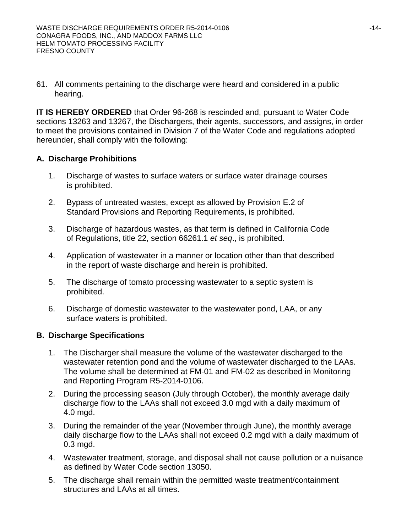61. All comments pertaining to the discharge were heard and considered in a public hearing.

**IT IS HEREBY ORDERED** that Order 96-268 is rescinded and, pursuant to Water Code sections 13263 and 13267, the Dischargers, their agents, successors, and assigns, in order to meet the provisions contained in Division 7 of the Water Code and regulations adopted hereunder, shall comply with the following:

# **A. Discharge Prohibitions**

- 1. Discharge of wastes to surface waters or surface water drainage courses is prohibited.
- 2. Bypass of untreated wastes, except as allowed by Provision E.2 of Standard Provisions and Reporting Requirements, is prohibited.
- 3. Discharge of hazardous wastes, as that term is defined in California Code of Regulations, title 22, section 66261.1 *et seq*., is prohibited.
- 4. Application of wastewater in a manner or location other than that described in the report of waste discharge and herein is prohibited.
- 5. The discharge of tomato processing wastewater to a septic system is prohibited.
- 6. Discharge of domestic wastewater to the wastewater pond, LAA, or any surface waters is prohibited.

# **B. Discharge Specifications**

- 1. The Discharger shall measure the volume of the wastewater discharged to the wastewater retention pond and the volume of wastewater discharged to the LAAs. The volume shall be determined at FM-01 and FM-02 as described in Monitoring and Reporting Program R5-2014-0106.
- 2. During the processing season (July through October), the monthly average daily discharge flow to the LAAs shall not exceed 3.0 mgd with a daily maximum of 4.0 mgd.
- 3. During the remainder of the year (November through June), the monthly average daily discharge flow to the LAAs shall not exceed 0.2 mgd with a daily maximum of 0.3 mgd.
- 4. Wastewater treatment, storage, and disposal shall not cause pollution or a nuisance as defined by Water Code section 13050.
- 5. The discharge shall remain within the permitted waste treatment/containment structures and LAAs at all times.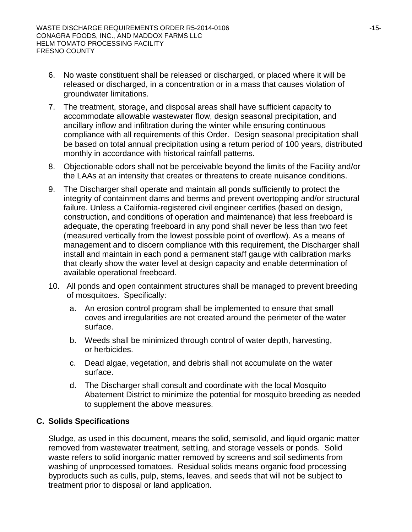- 6. No waste constituent shall be released or discharged, or placed where it will be released or discharged, in a concentration or in a mass that causes violation of groundwater limitations.
- 7. The treatment, storage, and disposal areas shall have sufficient capacity to accommodate allowable wastewater flow, design seasonal precipitation, and ancillary inflow and infiltration during the winter while ensuring continuous compliance with all requirements of this Order. Design seasonal precipitation shall be based on total annual precipitation using a return period of 100 years, distributed monthly in accordance with historical rainfall patterns.
- 8. Objectionable odors shall not be perceivable beyond the limits of the Facility and/or the LAAs at an intensity that creates or threatens to create nuisance conditions.
- 9. The Discharger shall operate and maintain all ponds sufficiently to protect the integrity of containment dams and berms and prevent overtopping and/or structural failure. Unless a California-registered civil engineer certifies (based on design, construction, and conditions of operation and maintenance) that less freeboard is adequate, the operating freeboard in any pond shall never be less than two feet (measured vertically from the lowest possible point of overflow). As a means of management and to discern compliance with this requirement, the Discharger shall install and maintain in each pond a permanent staff gauge with calibration marks that clearly show the water level at design capacity and enable determination of available operational freeboard.
- 10. All ponds and open containment structures shall be managed to prevent breeding of mosquitoes. Specifically:
	- a. An erosion control program shall be implemented to ensure that small coves and irregularities are not created around the perimeter of the water surface.
	- b. Weeds shall be minimized through control of water depth, harvesting, or herbicides.
	- c. Dead algae, vegetation, and debris shall not accumulate on the water surface.
	- d. The Discharger shall consult and coordinate with the local Mosquito Abatement District to minimize the potential for mosquito breeding as needed to supplement the above measures.

# **C. Solids Specifications**

Sludge, as used in this document, means the solid, semisolid, and liquid organic matter removed from wastewater treatment, settling, and storage vessels or ponds. Solid waste refers to solid inorganic matter removed by screens and soil sediments from washing of unprocessed tomatoes. Residual solids means organic food processing byproducts such as culls, pulp, stems, leaves, and seeds that will not be subject to treatment prior to disposal or land application.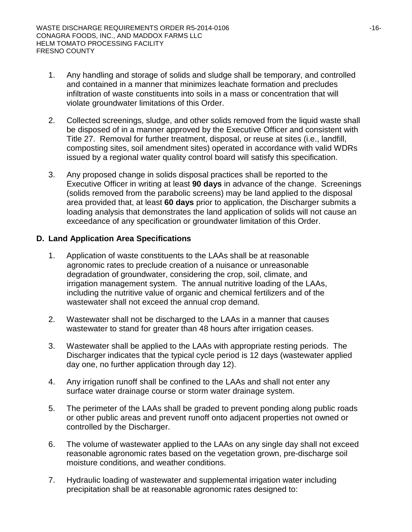- 1. Any handling and storage of solids and sludge shall be temporary, and controlled and contained in a manner that minimizes leachate formation and precludes infiltration of waste constituents into soils in a mass or concentration that will violate groundwater limitations of this Order.
- 2. Collected screenings, sludge, and other solids removed from the liquid waste shall be disposed of in a manner approved by the Executive Officer and consistent with Title 27. Removal for further treatment, disposal, or reuse at sites (i.e., landfill, composting sites, soil amendment sites) operated in accordance with valid WDRs issued by a regional water quality control board will satisfy this specification.
- 3. Any proposed change in solids disposal practices shall be reported to the Executive Officer in writing at least **90 days** in advance of the change. Screenings (solids removed from the parabolic screens) may be land applied to the disposal area provided that, at least **60 days** prior to application, the Discharger submits a loading analysis that demonstrates the land application of solids will not cause an exceedance of any specification or groundwater limitation of this Order.

# **D. Land Application Area Specifications**

- 1. Application of waste constituents to the LAAs shall be at reasonable agronomic rates to preclude creation of a nuisance or unreasonable degradation of groundwater, considering the crop, soil, climate, and irrigation management system. The annual nutritive loading of the LAAs, including the nutritive value of organic and chemical fertilizers and of the wastewater shall not exceed the annual crop demand.
- 2. Wastewater shall not be discharged to the LAAs in a manner that causes wastewater to stand for greater than 48 hours after irrigation ceases.
- 3. Wastewater shall be applied to the LAAs with appropriate resting periods. The Discharger indicates that the typical cycle period is 12 days (wastewater applied day one, no further application through day 12).
- 4. Any irrigation runoff shall be confined to the LAAs and shall not enter any surface water drainage course or storm water drainage system.
- 5. The perimeter of the LAAs shall be graded to prevent ponding along public roads or other public areas and prevent runoff onto adjacent properties not owned or controlled by the Discharger.
- 6. The volume of wastewater applied to the LAAs on any single day shall not exceed reasonable agronomic rates based on the vegetation grown, pre-discharge soil moisture conditions, and weather conditions.
- 7. Hydraulic loading of wastewater and supplemental irrigation water including precipitation shall be at reasonable agronomic rates designed to: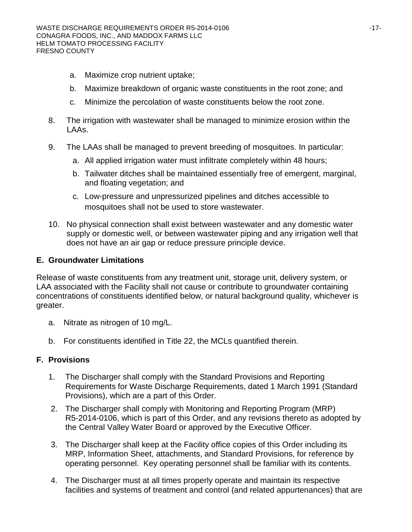- a. Maximize crop nutrient uptake;
- b. Maximize breakdown of organic waste constituents in the root zone; and
- c. Minimize the percolation of waste constituents below the root zone.
- 8. The irrigation with wastewater shall be managed to minimize erosion within the LAAs.
- 9. The LAAs shall be managed to prevent breeding of mosquitoes. In particular:
	- a. All applied irrigation water must infiltrate completely within 48 hours;
	- b. Tailwater ditches shall be maintained essentially free of emergent, marginal, and floating vegetation; and
	- c. Low-pressure and unpressurized pipelines and ditches accessible to mosquitoes shall not be used to store wastewater.
- 10. No physical connection shall exist between wastewater and any domestic water supply or domestic well, or between wastewater piping and any irrigation well that does not have an air gap or reduce pressure principle device.

# **E. Groundwater Limitations**

Release of waste constituents from any treatment unit, storage unit, delivery system, or LAA associated with the Facility shall not cause or contribute to groundwater containing concentrations of constituents identified below, or natural background quality, whichever is greater.

- a. Nitrate as nitrogen of 10 mg/L.
- b. For constituents identified in Title 22, the MCLs quantified therein.

# **F. Provisions**

- 1. The Discharger shall comply with the Standard Provisions and Reporting Requirements for Waste Discharge Requirements, dated 1 March 1991 (Standard Provisions), which are a part of this Order.
- 2. The Discharger shall comply with Monitoring and Reporting Program (MRP) R5-2014-0106, which is part of this Order, and any revisions thereto as adopted by the Central Valley Water Board or approved by the Executive Officer.
- 3. The Discharger shall keep at the Facility office copies of this Order including its MRP, Information Sheet, attachments, and Standard Provisions, for reference by operating personnel. Key operating personnel shall be familiar with its contents.
- 4. The Discharger must at all times properly operate and maintain its respective facilities and systems of treatment and control (and related appurtenances) that are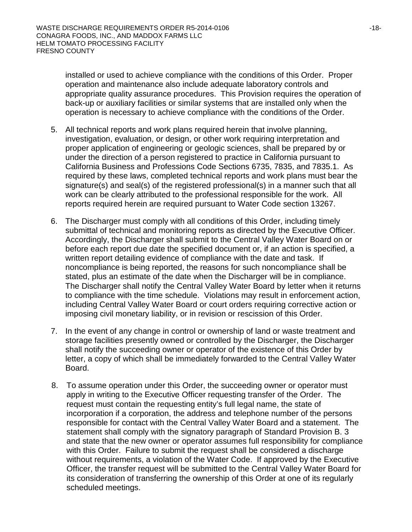installed or used to achieve compliance with the conditions of this Order. Proper operation and maintenance also include adequate laboratory controls and appropriate quality assurance procedures. This Provision requires the operation of back-up or auxiliary facilities or similar systems that are installed only when the operation is necessary to achieve compliance with the conditions of the Order.

- 5. All technical reports and work plans required herein that involve planning, investigation, evaluation, or design, or other work requiring interpretation and proper application of engineering or geologic sciences, shall be prepared by or under the direction of a person registered to practice in California pursuant to California Business and Professions Code Sections 6735, 7835, and 7835.1. As required by these laws, completed technical reports and work plans must bear the signature(s) and seal(s) of the registered professional(s) in a manner such that all work can be clearly attributed to the professional responsible for the work. All reports required herein are required pursuant to Water Code section 13267.
- 6. The Discharger must comply with all conditions of this Order, including timely submittal of technical and monitoring reports as directed by the Executive Officer. Accordingly, the Discharger shall submit to the Central Valley Water Board on or before each report due date the specified document or, if an action is specified, a written report detailing evidence of compliance with the date and task. If noncompliance is being reported, the reasons for such noncompliance shall be stated, plus an estimate of the date when the Discharger will be in compliance. The Discharger shall notify the Central Valley Water Board by letter when it returns to compliance with the time schedule. Violations may result in enforcement action, including Central Valley Water Board or court orders requiring corrective action or imposing civil monetary liability, or in revision or rescission of this Order.
- 7. In the event of any change in control or ownership of land or waste treatment and storage facilities presently owned or controlled by the Discharger, the Discharger shall notify the succeeding owner or operator of the existence of this Order by letter, a copy of which shall be immediately forwarded to the Central Valley Water Board.
- 8. To assume operation under this Order, the succeeding owner or operator must apply in writing to the Executive Officer requesting transfer of the Order. The request must contain the requesting entity's full legal name, the state of incorporation if a corporation, the address and telephone number of the persons responsible for contact with the Central Valley Water Board and a statement. The statement shall comply with the signatory paragraph of Standard Provision B. 3 and state that the new owner or operator assumes full responsibility for compliance with this Order. Failure to submit the request shall be considered a discharge without requirements, a violation of the Water Code. If approved by the Executive Officer, the transfer request will be submitted to the Central Valley Water Board for its consideration of transferring the ownership of this Order at one of its regularly scheduled meetings.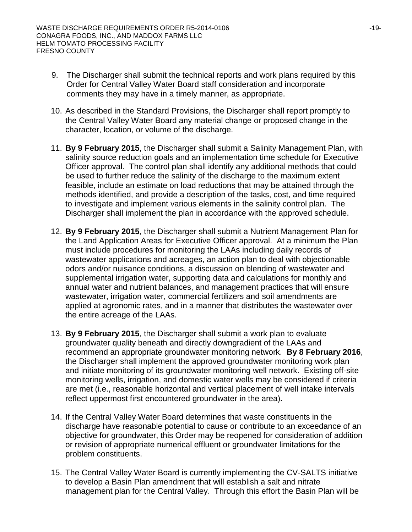- 9. The Discharger shall submit the technical reports and work plans required by this Order for Central Valley Water Board staff consideration and incorporate comments they may have in a timely manner, as appropriate.
- 10. As described in the Standard Provisions, the Discharger shall report promptly to the Central Valley Water Board any material change or proposed change in the character, location, or volume of the discharge.
- 11. **By 9 February 2015**, the Discharger shall submit a Salinity Management Plan, with salinity source reduction goals and an implementation time schedule for Executive Officer approval. The control plan shall identify any additional methods that could be used to further reduce the salinity of the discharge to the maximum extent feasible, include an estimate on load reductions that may be attained through the methods identified, and provide a description of the tasks, cost, and time required to investigate and implement various elements in the salinity control plan. The Discharger shall implement the plan in accordance with the approved schedule.
- 12. **By 9 February 2015**, the Discharger shall submit a Nutrient Management Plan for the Land Application Areas for Executive Officer approval. At a minimum the Plan must include procedures for monitoring the LAAs including daily records of wastewater applications and acreages, an action plan to deal with objectionable odors and/or nuisance conditions, a discussion on blending of wastewater and supplemental irrigation water, supporting data and calculations for monthly and annual water and nutrient balances, and management practices that will ensure wastewater, irrigation water, commercial fertilizers and soil amendments are applied at agronomic rates, and in a manner that distributes the wastewater over the entire acreage of the LAAs.
- 13. **By 9 February 2015**, the Discharger shall submit a work plan to evaluate groundwater quality beneath and directly downgradient of the LAAs and recommend an appropriate groundwater monitoring network. **By 8 February 2016**, the Discharger shall implement the approved groundwater monitoring work plan and initiate monitoring of its groundwater monitoring well network. Existing off-site monitoring wells, irrigation, and domestic water wells may be considered if criteria are met (i.e., reasonable horizontal and vertical placement of well intake intervals reflect uppermost first encountered groundwater in the area)**.**
- 14. If the Central Valley Water Board determines that waste constituents in the discharge have reasonable potential to cause or contribute to an exceedance of an objective for groundwater, this Order may be reopened for consideration of addition or revision of appropriate numerical effluent or groundwater limitations for the problem constituents.
- 15. The Central Valley Water Board is currently implementing the CV-SALTS initiative to develop a Basin Plan amendment that will establish a salt and nitrate management plan for the Central Valley. Through this effort the Basin Plan will be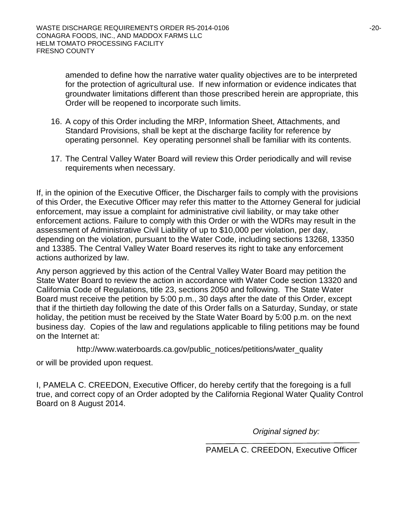amended to define how the narrative water quality objectives are to be interpreted for the protection of agricultural use. If new information or evidence indicates that groundwater limitations different than those prescribed herein are appropriate, this Order will be reopened to incorporate such limits.

- 16. A copy of this Order including the MRP, Information Sheet, Attachments, and Standard Provisions, shall be kept at the discharge facility for reference by operating personnel. Key operating personnel shall be familiar with its contents.
- 17. The Central Valley Water Board will review this Order periodically and will revise requirements when necessary.

If, in the opinion of the Executive Officer, the Discharger fails to comply with the provisions of this Order, the Executive Officer may refer this matter to the Attorney General for judicial enforcement, may issue a complaint for administrative civil liability, or may take other enforcement actions. Failure to comply with this Order or with the WDRs may result in the assessment of Administrative Civil Liability of up to \$10,000 per violation, per day, depending on the violation, pursuant to the Water Code, including sections 13268, 13350 and 13385. The Central Valley Water Board reserves its right to take any enforcement actions authorized by law.

Any person aggrieved by this action of the Central Valley Water Board may petition the State Water Board to review the action in accordance with Water Code section 13320 and California Code of Regulations, title 23, sections 2050 and following. The State Water Board must receive the petition by 5:00 p.m., 30 days after the date of this Order, except that if the thirtieth day following the date of this Order falls on a Saturday, Sunday, or state holiday, the petition must be received by the State Water Board by 5:00 p.m. on the next business day. Copies of the law and regulations applicable to filing petitions may be found on the Internet at:

http://www.waterboards.ca.gov/public\_notices/petitions/water\_quality

or will be provided upon request.

I, PAMELA C. CREEDON, Executive Officer, do hereby certify that the foregoing is a full true, and correct copy of an Order adopted by the California Regional Water Quality Control Board on 8 August 2014.

*Original signed by:*

PAMELA C. CREEDON, Executive Officer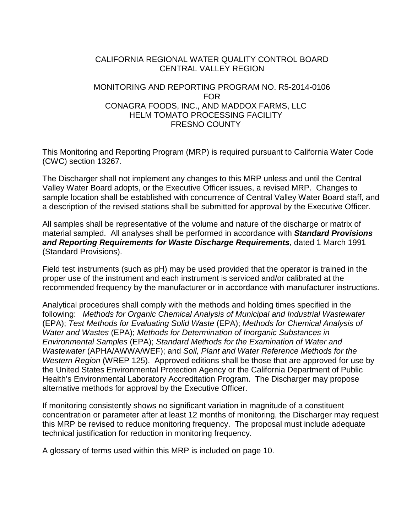### CALIFORNIA REGIONAL WATER QUALITY CONTROL BOARD CENTRAL VALLEY REGION

# MONITORING AND REPORTING PROGRAM NO. R5-2014-0106 FOR CONAGRA FOODS, INC., AND MADDOX FARMS, LLC HELM TOMATO PROCESSING FACILITY FRESNO COUNTY

This Monitoring and Reporting Program (MRP) is required pursuant to California Water Code (CWC) section 13267.

The Discharger shall not implement any changes to this MRP unless and until the Central Valley Water Board adopts, or the Executive Officer issues, a revised MRP. Changes to sample location shall be established with concurrence of Central Valley Water Board staff, and a description of the revised stations shall be submitted for approval by the Executive Officer.

All samples shall be representative of the volume and nature of the discharge or matrix of material sampled. All analyses shall be performed in accordance with *Standard Provisions and Reporting Requirements for Waste Discharge Requirements*, dated 1 March 1991 (Standard Provisions).

Field test instruments (such as pH) may be used provided that the operator is trained in the proper use of the instrument and each instrument is serviced and/or calibrated at the recommended frequency by the manufacturer or in accordance with manufacturer instructions.

Analytical procedures shall comply with the methods and holding times specified in the following: *Methods for Organic Chemical Analysis of Municipal and Industrial Wastewater* (EPA); *Test Methods for Evaluating Solid Waste* (EPA); *Methods for Chemical Analysis of Water and Wastes* (EPA); *Methods for Determination of Inorganic Substances in Environmental Samples* (EPA); *Standard Methods for the Examination of Water and Wastewater* (APHA/AWWA/WEF); and *Soil, Plant and Water Reference Methods for the Western Region* (WREP 125). Approved editions shall be those that are approved for use by the United States Environmental Protection Agency or the California Department of Public Health's Environmental Laboratory Accreditation Program. The Discharger may propose alternative methods for approval by the Executive Officer.

If monitoring consistently shows no significant variation in magnitude of a constituent concentration or parameter after at least 12 months of monitoring, the Discharger may request this MRP be revised to reduce monitoring frequency. The proposal must include adequate technical justification for reduction in monitoring frequency.

A glossary of terms used within this MRP is included on page 10.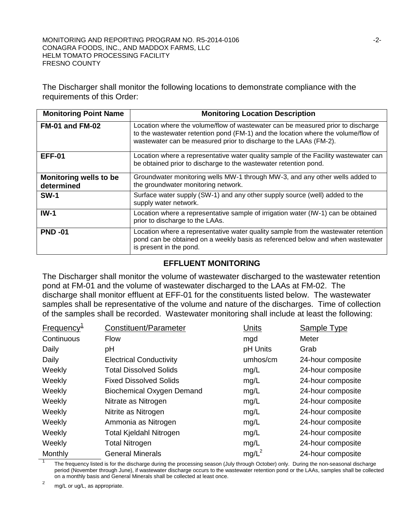The Discharger shall monitor the following locations to demonstrate compliance with the requirements of this Order:

| <b>Monitoring Point Name</b>                | <b>Monitoring Location Description</b>                                                                                                                                                                                                    |
|---------------------------------------------|-------------------------------------------------------------------------------------------------------------------------------------------------------------------------------------------------------------------------------------------|
| FM-01 and FM-02                             | Location where the volume/flow of wastewater can be measured prior to discharge<br>to the wastewater retention pond (FM-1) and the location where the volume/flow of<br>wastewater can be measured prior to discharge to the LAAs (FM-2). |
| <b>EFF-01</b>                               | Location where a representative water quality sample of the Facility wastewater can<br>be obtained prior to discharge to the wastewater retention pond.                                                                                   |
| <b>Monitoring wells to be</b><br>determined | Groundwater monitoring wells MW-1 through MW-3, and any other wells added to<br>the groundwater monitoring network.                                                                                                                       |
| <b>SW-1</b>                                 | Surface water supply (SW-1) and any other supply source (well) added to the<br>supply water network.                                                                                                                                      |
| $IW-1$                                      | Location where a representative sample of irrigation water (IW-1) can be obtained<br>prior to discharge to the LAAs.                                                                                                                      |
| <b>PND-01</b>                               | Location where a representative water quality sample from the wastewater retention<br>pond can be obtained on a weekly basis as referenced below and when wastewater<br>is present in the pond.                                           |

# **EFFLUENT MONITORING**

The Discharger shall monitor the volume of wastewater discharged to the wastewater retention pond at FM-01 and the volume of wastewater discharged to the LAAs at FM-02. The discharge shall monitor effluent at EFF-01 for the constituents listed below. The wastewater samples shall be representative of the volume and nature of the discharges. Time of collection of the samples shall be recorded. Wastewater monitoring shall include at least the following:

| Frequency <sup>1</sup> | Constituent/Parameter          | <b>Units</b> | <b>Sample Type</b> |
|------------------------|--------------------------------|--------------|--------------------|
| Continuous             | <b>Flow</b>                    | mgd          | Meter              |
| Daily                  | pH                             | pH Units     | Grab               |
| Daily                  | <b>Electrical Conductivity</b> | umhos/cm     | 24-hour composite  |
| Weekly                 | <b>Total Dissolved Solids</b>  | mg/L         | 24-hour composite  |
| Weekly                 | <b>Fixed Dissolved Solids</b>  | mg/L         | 24-hour composite  |
| Weekly                 | Biochemical Oxygen Demand      | mg/L         | 24-hour composite  |
| Weekly                 | Nitrate as Nitrogen            | mg/L         | 24-hour composite  |
| Weekly                 | Nitrite as Nitrogen            | mg/L         | 24-hour composite  |
| Weekly                 | Ammonia as Nitrogen            | mg/L         | 24-hour composite  |
| Weekly                 | Total Kjeldahl Nitrogen        | mg/L         | 24-hour composite  |
| Weekly                 | <b>Total Nitrogen</b>          | mg/L         | 24-hour composite  |
| Monthly                | <b>General Minerals</b>        | $mg/L^2$     | 24-hour composite  |

<sup>1</sup> The frequency listed is for the discharge during the processing season (July through October) only. During the non-seasonal discharge period (November through June), if wastewater discharge occurs to the wastewater retention pond or the LAAs, samples shall be collected on a monthly basis and General Minerals shall be collected at least once.

 $2 \text{ mg/L}$  or ug/L, as appropriate.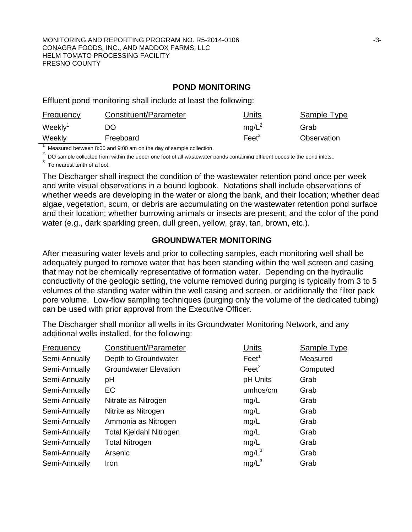### **POND MONITORING**

Effluent pond monitoring shall include at least the following:

| <b>Frequency</b>    | Constituent/Parameter | Units             | Sample Type |
|---------------------|-----------------------|-------------------|-------------|
| Weekly <sup>1</sup> | DO                    | $mg/L^2$          | Grab        |
| Weekly              | Freeboard             | Feet <sup>3</sup> | Observation |

<sup>1</sup>. Measured between 8:00 and 9:00 am on the day of sample collection.

<sup>2.</sup> DO sample collected from within the upper one foot of all wastewater ponds containing effluent opposite the pond inlets..

 $3$  To nearest tenth of a foot.

The Discharger shall inspect the condition of the wastewater retention pond once per week and write visual observations in a bound logbook. Notations shall include observations of whether weeds are developing in the water or along the bank, and their location; whether dead algae, vegetation, scum, or debris are accumulating on the wastewater retention pond surface and their location; whether burrowing animals or insects are present; and the color of the pond water (e.g., dark sparkling green, dull green, yellow, gray, tan, brown, etc.).

# **GROUNDWATER MONITORING**

After measuring water levels and prior to collecting samples, each monitoring well shall be adequately purged to remove water that has been standing within the well screen and casing that may not be chemically representative of formation water. Depending on the hydraulic conductivity of the geologic setting, the volume removed during purging is typically from 3 to 5 volumes of the standing water within the well casing and screen, or additionally the filter pack pore volume. Low-flow sampling techniques (purging only the volume of the dedicated tubing) can be used with prior approval from the Executive Officer.

The Discharger shall monitor all wells in its Groundwater Monitoring Network, and any additional wells installed, for the following:

| <b>Frequency</b> | Constituent/Parameter        | Units           | Sample Type |
|------------------|------------------------------|-----------------|-------------|
| Semi-Annually    | Depth to Groundwater         | $\text{Feet}^1$ | Measured    |
| Semi-Annually    | <b>Groundwater Elevation</b> | $\text{Feet}^2$ | Computed    |
| Semi-Annually    | pH                           | pH Units        | Grab        |
| Semi-Annually    | EC                           | umhos/cm        | Grab        |
| Semi-Annually    | Nitrate as Nitrogen          | mg/L            | Grab        |
| Semi-Annually    | Nitrite as Nitrogen          | mg/L            | Grab        |
| Semi-Annually    | Ammonia as Nitrogen          | mg/L            | Grab        |
| Semi-Annually    | Total Kjeldahl Nitrogen      | mg/L            | Grab        |
| Semi-Annually    | <b>Total Nitrogen</b>        | mg/L            | Grab        |
| Semi-Annually    | Arsenic                      | $mg/L^3$        | Grab        |
| Semi-Annually    | Iron                         | $mg/L^3$        | Grab        |
|                  |                              |                 |             |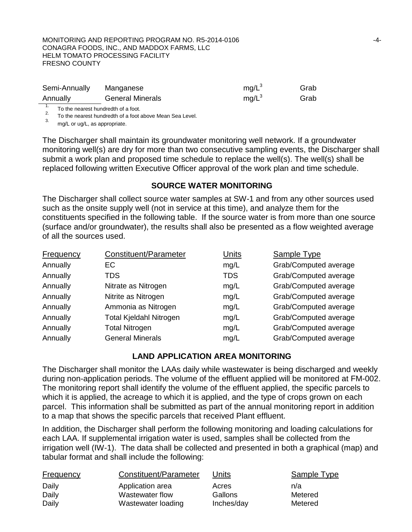#### MONITORING AND REPORTING PROGRAM NO. R5-2014-0106  $-4-$ CONAGRA FOODS, INC., AND MADDOX FARMS, LLC HELM TOMATO PROCESSING FACILITY FRESNO COUNTY

| Semi-Annually                       | Manganese               | $mq/L^3$ | Grab |
|-------------------------------------|-------------------------|----------|------|
| Annually                            | <b>General Minerals</b> | $mq/L^3$ | Grab |
| To the nearest hundredth of a foot. |                         |          |      |

<sup>2.</sup> To the nearest hundredth of a foot above Mean Sea Level.<br><sup>3.</sup> mg/L or ug/L, as appropriate.

The Discharger shall maintain its groundwater monitoring well network. If a groundwater monitoring well(s) are dry for more than two consecutive sampling events, the Discharger shall submit a work plan and proposed time schedule to replace the well(s). The well(s) shall be replaced following written Executive Officer approval of the work plan and time schedule.

# **SOURCE WATER MONITORING**

The Discharger shall collect source water samples at SW-1 and from any other sources used such as the onsite supply well (not in service at this time), and analyze them for the constituents specified in the following table. If the source water is from more than one source (surface and/or groundwater), the results shall also be presented as a flow weighted average of all the sources used.

| Frequency | Constituent/Parameter          | <b>Units</b> | Sample Type           |
|-----------|--------------------------------|--------------|-----------------------|
| Annually  | <b>EC</b>                      | mg/L         | Grab/Computed average |
| Annually  | <b>TDS</b>                     | <b>TDS</b>   | Grab/Computed average |
| Annually  | Nitrate as Nitrogen            | mg/L         | Grab/Computed average |
| Annually  | Nitrite as Nitrogen            | mg/L         | Grab/Computed average |
| Annually  | Ammonia as Nitrogen            | mg/L         | Grab/Computed average |
| Annually  | <b>Total Kjeldahl Nitrogen</b> | mg/L         | Grab/Computed average |
| Annually  | <b>Total Nitrogen</b>          | mg/L         | Grab/Computed average |
| Annually  | <b>General Minerals</b>        | mg/L         | Grab/Computed average |

# **LAND APPLICATION AREA MONITORING**

The Discharger shall monitor the LAAs daily while wastewater is being discharged and weekly during non-application periods. The volume of the effluent applied will be monitored at FM-002. The monitoring report shall identify the volume of the effluent applied, the specific parcels to which it is applied, the acreage to which it is applied, and the type of crops grown on each parcel. This information shall be submitted as part of the annual monitoring report in addition to a map that shows the specific parcels that received Plant effluent.

In addition, the Discharger shall perform the following monitoring and loading calculations for each LAA. If supplemental irrigation water is used, samples shall be collected from the irrigation well (IW-1). The data shall be collected and presented in both a graphical (map) and tabular format and shall include the following:

| <b>Frequency</b> | Constituent/Parameter | Units      | <b>Sample Type</b> |
|------------------|-----------------------|------------|--------------------|
| Daily            | Application area      | Acres      | n/a                |
| Daily            | Wastewater flow       | Gallons    | Metered            |
| Daily            | Wastewater loading    | Inches/day | Metered            |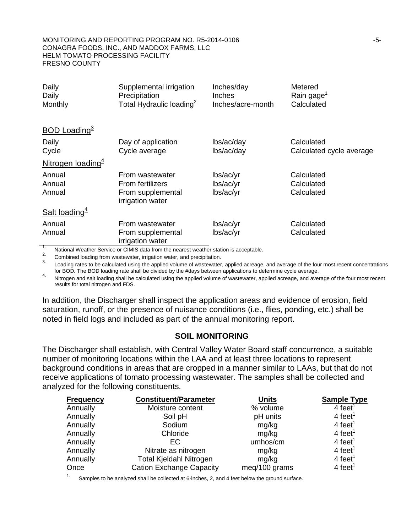| Daily<br>Daily<br>Monthly                                                                                                                                                                                                                                                                                                                                                                                              | Supplemental irrigation<br>Precipitation<br>Total Hydraulic loading <sup>2</sup> | Inches/day<br><b>Inches</b><br>Inches/acre-month | Metered<br>Rain gage <sup>1</sup><br>Calculated |
|------------------------------------------------------------------------------------------------------------------------------------------------------------------------------------------------------------------------------------------------------------------------------------------------------------------------------------------------------------------------------------------------------------------------|----------------------------------------------------------------------------------|--------------------------------------------------|-------------------------------------------------|
| <b>BOD</b> Loading <sup>3</sup>                                                                                                                                                                                                                                                                                                                                                                                        |                                                                                  |                                                  |                                                 |
| Daily                                                                                                                                                                                                                                                                                                                                                                                                                  | Day of application                                                               | lbs/ac/day                                       | Calculated                                      |
| Cycle                                                                                                                                                                                                                                                                                                                                                                                                                  | Cycle average                                                                    | lbs/ac/day                                       | Calculated cycle average                        |
| Nitrogen loading <sup>4</sup>                                                                                                                                                                                                                                                                                                                                                                                          |                                                                                  |                                                  |                                                 |
| Annual                                                                                                                                                                                                                                                                                                                                                                                                                 | From wastewater                                                                  | lbs/ac/yr                                        | Calculated                                      |
| Annual                                                                                                                                                                                                                                                                                                                                                                                                                 | <b>From fertilizers</b>                                                          | lbs/ac/yr                                        | Calculated                                      |
| Annual                                                                                                                                                                                                                                                                                                                                                                                                                 | From supplemental<br>irrigation water                                            | lbs/ac/yr                                        | Calculated                                      |
| Salt loading $4$                                                                                                                                                                                                                                                                                                                                                                                                       |                                                                                  |                                                  |                                                 |
| Annual                                                                                                                                                                                                                                                                                                                                                                                                                 | From wastewater                                                                  | lbs/ac/yr                                        | Calculated                                      |
| Annual                                                                                                                                                                                                                                                                                                                                                                                                                 | From supplemental<br>irrigation water                                            | lbs/ac/yr                                        | Calculated                                      |
| $\mathbf{A} \mathbf{A} \mathbf{A} \mathbf{A} \mathbf{A} \mathbf{A} \mathbf{A} \mathbf{A} \mathbf{A} \mathbf{A} \mathbf{A} \mathbf{A} \mathbf{A} \mathbf{A} \mathbf{A} \mathbf{A} \mathbf{A} \mathbf{A} \mathbf{A} \mathbf{A} \mathbf{A} \mathbf{A} \mathbf{A} \mathbf{A} \mathbf{A} \mathbf{A} \mathbf{A} \mathbf{A} \mathbf{A} \mathbf{A} \mathbf{A} \mathbf{A} \mathbf{A} \mathbf{A} \mathbf{A} \mathbf{A} \mathbf{$ |                                                                                  |                                                  |                                                 |

National Weather Service or CIMIS data from the nearest weather station is acceptable.<br>
2. Combined loading from wastewater, irrigation water, and precipitation.<br>
1. Loading rates to be calculated using the applied volume

A Nitrogen and salt loading shall be calculated using the applied volume of wastewater, applied acreage, and average of the four most recent results for total nitrogen and FDS.

In addition, the Discharger shall inspect the application areas and evidence of erosion, field saturation, runoff, or the presence of nuisance conditions (i.e., flies, ponding, etc.) shall be noted in field logs and included as part of the annual monitoring report.

# **SOIL MONITORING**

The Discharger shall establish, with Central Valley Water Board staff concurrence, a suitable number of monitoring locations within the LAA and at least three locations to represent background conditions in areas that are cropped in a manner similar to LAAs, but that do not receive applications of tomato processing wastewater. The samples shall be collected and analyzed for the following constituents.

| <b>Frequency</b> | <b>Constituent/Parameter</b>    | <b>Units</b>  | <b>Sample Type</b>  |
|------------------|---------------------------------|---------------|---------------------|
| Annually         | Moisture content                | % volume      | 4 feet <sup>1</sup> |
| Annually         | Soil pH                         | pH units      | $4 \text{ feet}^1$  |
| Annually         | Sodium                          | mg/kg         | 4 feet <sup>1</sup> |
| Annually         | Chloride                        | mg/kg         | 4 feet <sup>1</sup> |
| Annually         | EC                              | umhos/cm      | 4 feet <sup>1</sup> |
| Annually         | Nitrate as nitrogen             | mg/kg         | 4 feet <sup>1</sup> |
| Annually         | <b>Total Kjeldahl Nitrogen</b>  | mg/kg         | 4 feet <sup>1</sup> |
| Once             | <b>Cation Exchange Capacity</b> | meg/100 grams | 4 feet <sup>1</sup> |

<sup>1.</sup> Samples to be analyzed shall be collected at 6-inches, 2, and 4 feet below the ground surface.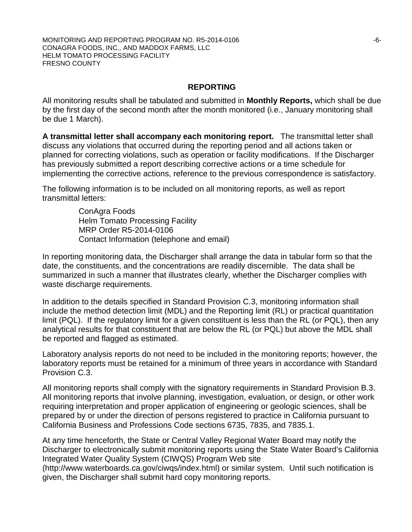### **REPORTING**

All monitoring results shall be tabulated and submitted in **Monthly Reports,** which shall be due by the first day of the second month after the month monitored (i.e., January monitoring shall be due 1 March).

**A transmittal letter shall accompany each monitoring report.** The transmittal letter shall discuss any violations that occurred during the reporting period and all actions taken or planned for correcting violations, such as operation or facility modifications. If the Discharger has previously submitted a report describing corrective actions or a time schedule for implementing the corrective actions, reference to the previous correspondence is satisfactory.

The following information is to be included on all monitoring reports, as well as report transmittal letters:

> ConAgra Foods Helm Tomato Processing Facility MRP Order R5-2014-0106 Contact Information (telephone and email)

In reporting monitoring data, the Discharger shall arrange the data in tabular form so that the date, the constituents, and the concentrations are readily discernible. The data shall be summarized in such a manner that illustrates clearly, whether the Discharger complies with waste discharge requirements.

In addition to the details specified in Standard Provision C.3, monitoring information shall include the method detection limit (MDL) and the Reporting limit (RL) or practical quantitation limit (PQL). If the regulatory limit for a given constituent is less than the RL (or PQL), then any analytical results for that constituent that are below the RL (or PQL) but above the MDL shall be reported and flagged as estimated.

Laboratory analysis reports do not need to be included in the monitoring reports; however, the laboratory reports must be retained for a minimum of three years in accordance with Standard Provision C.3.

All monitoring reports shall comply with the signatory requirements in Standard Provision B.3. All monitoring reports that involve planning, investigation, evaluation, or design, or other work requiring interpretation and proper application of engineering or geologic sciences, shall be prepared by or under the direction of persons registered to practice in California pursuant to California Business and Professions Code sections 6735, 7835, and 7835.1.

At any time henceforth, the State or Central Valley Regional Water Board may notify the Discharger to electronically submit monitoring reports using the State Water Board's California Integrated Water Quality System (CIWQS) Program Web site

(http://www.waterboards.ca.gov/ciwqs/index.html) or similar system. Until such notification is given, the Discharger shall submit hard copy monitoring reports.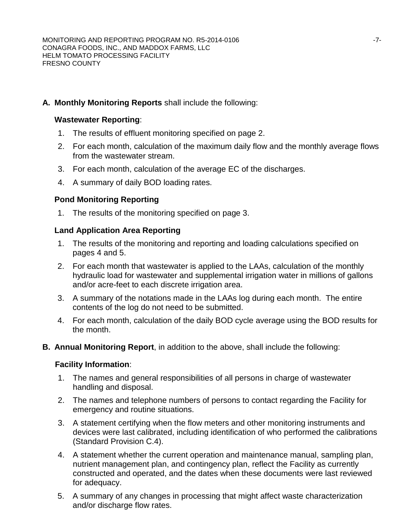# **A. Monthly Monitoring Reports** shall include the following:

# **Wastewater Reporting**:

- 1. The results of effluent monitoring specified on page 2.
- 2. For each month, calculation of the maximum daily flow and the monthly average flows from the wastewater stream.
- 3. For each month, calculation of the average EC of the discharges.
- 4. A summary of daily BOD loading rates.

# **Pond Monitoring Reporting**

1. The results of the monitoring specified on page 3.

# **Land Application Area Reporting**

- 1. The results of the monitoring and reporting and loading calculations specified on pages 4 and 5.
- 2. For each month that wastewater is applied to the LAAs, calculation of the monthly hydraulic load for wastewater and supplemental irrigation water in millions of gallons and/or acre-feet to each discrete irrigation area.
- 3. A summary of the notations made in the LAAs log during each month. The entire contents of the log do not need to be submitted.
- 4. For each month, calculation of the daily BOD cycle average using the BOD results for the month.
- **B. Annual Monitoring Report**, in addition to the above, shall include the following:

# **Facility Information**:

- 1. The names and general responsibilities of all persons in charge of wastewater handling and disposal.
- 2. The names and telephone numbers of persons to contact regarding the Facility for emergency and routine situations.
- 3. A statement certifying when the flow meters and other monitoring instruments and devices were last calibrated, including identification of who performed the calibrations (Standard Provision C.4).
- 4. A statement whether the current operation and maintenance manual, sampling plan, nutrient management plan, and contingency plan, reflect the Facility as currently constructed and operated, and the dates when these documents were last reviewed for adequacy.
- 5. A summary of any changes in processing that might affect waste characterization and/or discharge flow rates.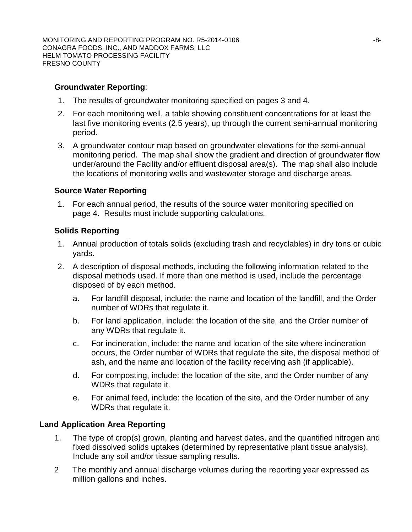# **Groundwater Reporting**:

- 1. The results of groundwater monitoring specified on pages 3 and 4.
- 2. For each monitoring well, a table showing constituent concentrations for at least the last five monitoring events (2.5 years), up through the current semi-annual monitoring period.
- 3. A groundwater contour map based on groundwater elevations for the semi-annual monitoring period. The map shall show the gradient and direction of groundwater flow under/around the Facility and/or effluent disposal area(s). The map shall also include the locations of monitoring wells and wastewater storage and discharge areas.

# **Source Water Reporting**

1. For each annual period, the results of the source water monitoring specified on page 4. Results must include supporting calculations.

# **Solids Reporting**

- 1. Annual production of totals solids (excluding trash and recyclables) in dry tons or cubic yards.
- 2. A description of disposal methods, including the following information related to the disposal methods used. If more than one method is used, include the percentage disposed of by each method.
	- a. For landfill disposal, include: the name and location of the landfill, and the Order number of WDRs that regulate it.
	- b. For land application, include: the location of the site, and the Order number of any WDRs that regulate it.
	- c. For incineration, include: the name and location of the site where incineration occurs, the Order number of WDRs that regulate the site, the disposal method of ash, and the name and location of the facility receiving ash (if applicable).
	- d. For composting, include: the location of the site, and the Order number of any WDRs that regulate it.
	- e. For animal feed, include: the location of the site, and the Order number of any WDRs that regulate it.

# **Land Application Area Reporting**

- 1. The type of crop(s) grown, planting and harvest dates, and the quantified nitrogen and fixed dissolved solids uptakes (determined by representative plant tissue analysis). Include any soil and/or tissue sampling results.
- 2 The monthly and annual discharge volumes during the reporting year expressed as million gallons and inches.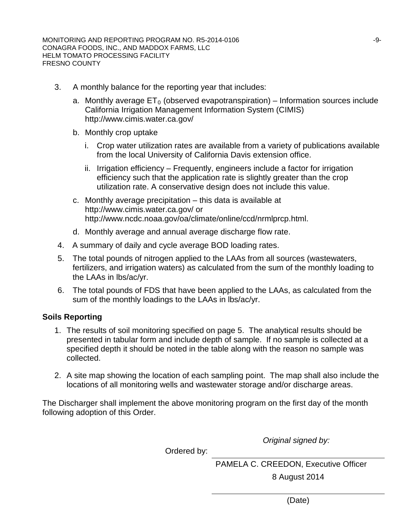- 3. A monthly balance for the reporting year that includes:
	- a. Monthly average  $ET_0$  (observed evapotranspiration) Information sources include California Irrigation Management Information System (CIMIS) http://www.cimis.water.ca.gov/
	- b. Monthly crop uptake
		- i. Crop water utilization rates are available from a variety of publications available from the local University of California Davis extension office.
		- ii. Irrigation efficiency Frequently, engineers include a factor for irrigation efficiency such that the application rate is slightly greater than the crop utilization rate. A conservative design does not include this value.
	- c. Monthly average precipitation this data is available at http://www.cimis.water.ca.gov/ or http://www.ncdc.noaa.gov/oa/climate/online/ccd/nrmlprcp.html.
	- d. Monthly average and annual average discharge flow rate.
	- 4. A summary of daily and cycle average BOD loading rates.
	- 5. The total pounds of nitrogen applied to the LAAs from all sources (wastewaters, fertilizers, and irrigation waters) as calculated from the sum of the monthly loading to the LAAs in lbs/ac/yr.
	- 6. The total pounds of FDS that have been applied to the LAAs, as calculated from the sum of the monthly loadings to the LAAs in lbs/ac/yr.

# **Soils Reporting**

- 1. The results of soil monitoring specified on page 5. The analytical results should be presented in tabular form and include depth of sample. If no sample is collected at a specified depth it should be noted in the table along with the reason no sample was collected.
- 2. A site map showing the location of each sampling point. The map shall also include the locations of all monitoring wells and wastewater storage and/or discharge areas.

The Discharger shall implement the above monitoring program on the first day of the month following adoption of this Order.

*Original signed by:*

Ordered by:

PAMELA C. CREEDON, Executive Officer 8 August 2014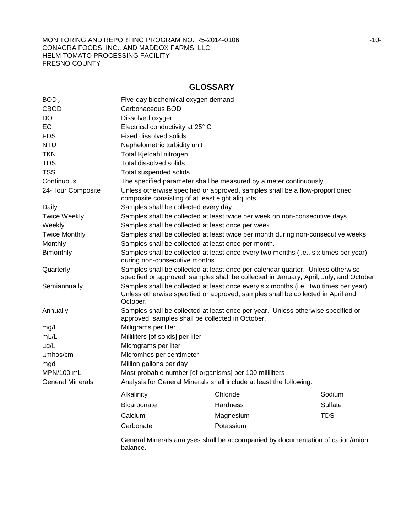# **GLOSSARY**

| BOD <sub>5</sub>        | Five-day biochemical oxygen demand                                                                                                                                                   |                                                                                                                                  |            |  |  |
|-------------------------|--------------------------------------------------------------------------------------------------------------------------------------------------------------------------------------|----------------------------------------------------------------------------------------------------------------------------------|------------|--|--|
| <b>CBOD</b>             | Carbonaceous BOD                                                                                                                                                                     |                                                                                                                                  |            |  |  |
| <b>DO</b>               | Dissolved oxygen                                                                                                                                                                     |                                                                                                                                  |            |  |  |
| <b>EC</b>               | Electrical conductivity at 25° C                                                                                                                                                     |                                                                                                                                  |            |  |  |
| <b>FDS</b>              | <b>Fixed dissolved solids</b>                                                                                                                                                        |                                                                                                                                  |            |  |  |
| <b>NTU</b>              | Nephelometric turbidity unit                                                                                                                                                         |                                                                                                                                  |            |  |  |
| <b>TKN</b>              | Total Kjeldahl nitrogen                                                                                                                                                              |                                                                                                                                  |            |  |  |
| <b>TDS</b>              | Total dissolved solids                                                                                                                                                               |                                                                                                                                  |            |  |  |
| <b>TSS</b>              | Total suspended solids                                                                                                                                                               |                                                                                                                                  |            |  |  |
| Continuous              |                                                                                                                                                                                      | The specified parameter shall be measured by a meter continuously.                                                               |            |  |  |
| 24-Hour Composite       |                                                                                                                                                                                      | Unless otherwise specified or approved, samples shall be a flow-proportioned<br>composite consisting of at least eight aliquots. |            |  |  |
| Daily                   | Samples shall be collected every day.                                                                                                                                                |                                                                                                                                  |            |  |  |
| <b>Twice Weekly</b>     |                                                                                                                                                                                      | Samples shall be collected at least twice per week on non-consecutive days.                                                      |            |  |  |
| Weekly                  |                                                                                                                                                                                      | Samples shall be collected at least once per week.                                                                               |            |  |  |
| <b>Twice Monthly</b>    |                                                                                                                                                                                      | Samples shall be collected at least twice per month during non-consecutive weeks.                                                |            |  |  |
| Monthly                 |                                                                                                                                                                                      | Samples shall be collected at least once per month.                                                                              |            |  |  |
| Bimonthly               | Samples shall be collected at least once every two months (i.e., six times per year)<br>during non-consecutive months                                                                |                                                                                                                                  |            |  |  |
| Quarterly               | Samples shall be collected at least once per calendar quarter. Unless otherwise<br>specified or approved, samples shall be collected in January, April, July, and October.           |                                                                                                                                  |            |  |  |
| Semiannually            | Samples shall be collected at least once every six months (i.e., two times per year).<br>Unless otherwise specified or approved, samples shall be collected in April and<br>October. |                                                                                                                                  |            |  |  |
| Annually                | Samples shall be collected at least once per year. Unless otherwise specified or<br>approved, samples shall be collected in October.                                                 |                                                                                                                                  |            |  |  |
| mg/L                    | Milligrams per liter                                                                                                                                                                 |                                                                                                                                  |            |  |  |
| mL/L                    | Milliliters [of solids] per liter                                                                                                                                                    |                                                                                                                                  |            |  |  |
| $\mu$ g/L               | Micrograms per liter                                                                                                                                                                 |                                                                                                                                  |            |  |  |
| umhos/cm                | Micromhos per centimeter                                                                                                                                                             |                                                                                                                                  |            |  |  |
| mgd                     | Million gallons per day                                                                                                                                                              |                                                                                                                                  |            |  |  |
| MPN/100 mL              |                                                                                                                                                                                      | Most probable number [of organisms] per 100 milliliters                                                                          |            |  |  |
| <b>General Minerals</b> |                                                                                                                                                                                      | Analysis for General Minerals shall include at least the following:                                                              |            |  |  |
|                         | Alkalinity                                                                                                                                                                           | Chloride                                                                                                                         | Sodium     |  |  |
|                         | Bicarbonate                                                                                                                                                                          | Hardness                                                                                                                         | Sulfate    |  |  |
|                         | Calcium                                                                                                                                                                              | Magnesium                                                                                                                        | <b>TDS</b> |  |  |
|                         | Carbonate                                                                                                                                                                            | Potassium                                                                                                                        |            |  |  |
|                         | balance.                                                                                                                                                                             | General Minerals analyses shall be accompanied by documentation of cation/anion                                                  |            |  |  |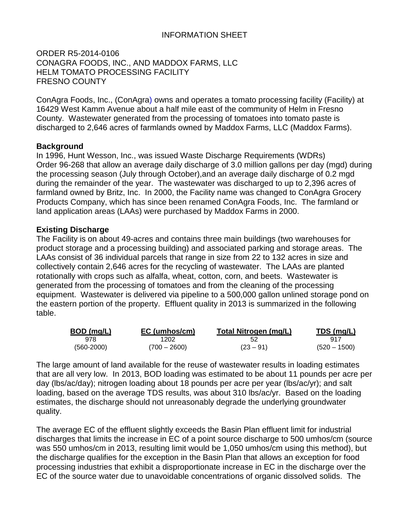# INFORMATION SHEET

ORDER R5-2014-0106 CONAGRA FOODS, INC., AND MADDOX FARMS, LLC HELM TOMATO PROCESSING FACILITY FRESNO COUNTY

ConAgra Foods, Inc., (ConAgra) owns and operates a tomato processing facility (Facility) at 16429 West Kamm Avenue about a half mile east of the community of Helm in Fresno County. Wastewater generated from the processing of tomatoes into tomato paste is discharged to 2,646 acres of farmlands owned by Maddox Farms, LLC (Maddox Farms).

### **Background**

In 1996, Hunt Wesson, Inc., was issued Waste Discharge Requirements (WDRs) Order 96-268 that allow an average daily discharge of 3.0 million gallons per day (mgd) during the processing season (July through October),and an average daily discharge of 0.2 mgd during the remainder of the year. The wastewater was discharged to up to 2,396 acres of farmland owned by Britz, Inc. In 2000, the Facility name was changed to ConAgra Grocery Products Company, which has since been renamed ConAgra Foods, Inc. The farmland or land application areas (LAAs) were purchased by Maddox Farms in 2000.

### **Existing Discharge**

The Facility is on about 49-acres and contains three main buildings (two warehouses for product storage and a processing building) and associated parking and storage areas. The LAAs consist of 36 individual parcels that range in size from 22 to 132 acres in size and collectively contain 2,646 acres for the recycling of wastewater. The LAAs are planted rotationally with crops such as alfalfa, wheat, cotton, corn, and beets. Wastewater is generated from the processing of tomatoes and from the cleaning of the processing equipment. Wastewater is delivered via pipeline to a 500,000 gallon unlined storage pond on the eastern portion of the property. Effluent quality in 2013 is summarized in the following table.

| BOD (mg/L)     | EC (umhos/cm)  | Total Nitrogen (mg/L) | TDS (mg/L)     |
|----------------|----------------|-----------------------|----------------|
| 978            | 1202           |                       |                |
| $(560 - 2000)$ | $(700 - 2600)$ | $(23 - 91)$           | $(520 - 1500)$ |

The large amount of land available for the reuse of wastewater results in loading estimates that are all very low. In 2013, BOD loading was estimated to be about 11 pounds per acre per day (lbs/ac/day); nitrogen loading about 18 pounds per acre per year (lbs/ac/yr); and salt loading, based on the average TDS results, was about 310 lbs/ac/yr. Based on the loading estimates, the discharge should not unreasonably degrade the underlying groundwater quality.

The average EC of the effluent slightly exceeds the Basin Plan effluent limit for industrial discharges that limits the increase in EC of a point source discharge to 500 umhos/cm (source was 550 umhos/cm in 2013, resulting limit would be 1,050 umhos/cm using this method), but the discharge qualifies for the exception in the Basin Plan that allows an exception for food processing industries that exhibit a disproportionate increase in EC in the discharge over the EC of the source water due to unavoidable concentrations of organic dissolved solids. The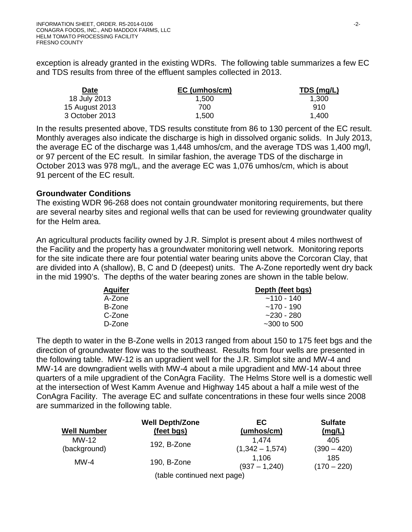exception is already granted in the existing WDRs. The following table summarizes a few EC and TDS results from three of the effluent samples collected in 2013.

| <b>Date</b>    | EC (umhos/cm) | TDS (mg/L) |  |
|----------------|---------------|------------|--|
| 18 July 2013   | 1.500         | 1.300      |  |
| 15 August 2013 | 700.          | 910        |  |
| 3 October 2013 | 1.500         | 1.400      |  |

In the results presented above, TDS results constitute from 86 to 130 percent of the EC result. Monthly averages also indicate the discharge is high in dissolved organic solids. In July 2013, the average EC of the discharge was 1,448 umhos/cm, and the average TDS was 1,400 mg/l, or 97 percent of the EC result. In similar fashion, the average TDS of the discharge in October 2013 was 978 mg/L, and the average EC was 1,076 umhos/cm, which is about 91 percent of the EC result.

#### **Groundwater Conditions**

The existing WDR 96-268 does not contain groundwater monitoring requirements, but there are several nearby sites and regional wells that can be used for reviewing groundwater quality for the Helm area.

An agricultural products facility owned by J.R. Simplot is present about 4 miles northwest of the Facility and the property has a groundwater monitoring well network. Monitoring reports for the site indicate there are four potential water bearing units above the Corcoran Clay, that are divided into A (shallow), B, C and D (deepest) units. The A-Zone reportedly went dry back in the mid 1990's. The depths of the water bearing zones are shown in the table below.

| <b>Aquifer</b> | Depth (feet bgs)  |
|----------------|-------------------|
| A-Zone         | $~110 - 140$      |
| B-Zone         | $~170 - 190$      |
| C-Zone         | $-230 - 280$      |
| D-Zone         | $\sim$ 300 to 500 |

The depth to water in the B-Zone wells in 2013 ranged from about 150 to 175 feet bgs and the direction of groundwater flow was to the southeast. Results from four wells are presented in the following table. MW-12 is an upgradient well for the J.R. Simplot site and MW-4 and MW-14 are downgradient wells with MW-4 about a mile upgradient and MW-14 about three quarters of a mile upgradient of the ConAgra Facility. The Helms Store well is a domestic well at the intersection of West Kamm Avenue and Highway 145 about a half a mile west of the ConAgra Facility. The average EC and sulfate concentrations in these four wells since 2008 are summarized in the following table.

| <b>Well Number</b> | <b>Well Depth/Zone</b>      | EC                       | <b>Sulfate</b>       |
|--------------------|-----------------------------|--------------------------|----------------------|
|                    | (feet bgs)                  | (umhos/cm)               | (mq/L)               |
| MW-12              | 192, B-Zone                 | 1.474                    | 405                  |
| (background)       |                             | $(1,342 - 1,574)$        | $(390 - 420)$        |
| $MW-4$             | 190, B-Zone                 | 1,106<br>$(937 - 1,240)$ | 185<br>$(170 - 220)$ |
|                    | (table continued next page) |                          |                      |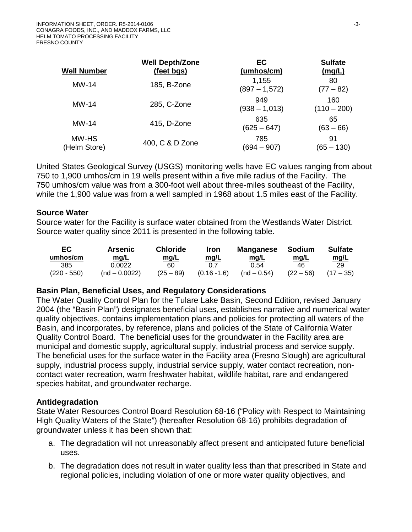| <b>Well Number</b>    | <b>Well Depth/Zone</b><br>(feet bgs) | EC<br>(umhos/cm)         | <b>Sulfate</b><br>(mg/L) |
|-----------------------|--------------------------------------|--------------------------|--------------------------|
| $MW-14$               | 185, B-Zone                          | 1,155<br>$(897 - 1,572)$ | 80<br>$(77 - 82)$        |
| $MW-14$               | 285, C-Zone                          | 949<br>$(938 - 1,013)$   | 160<br>$(110 - 200)$     |
| $MW-14$               | 415, D-Zone                          | 635<br>$(625 - 647)$     | 65<br>$(63 - 66)$        |
| MW-HS<br>(Helm Store) | 400, C & D Zone                      | 785<br>(694 – 907)       | 91<br>$(65 - 130)$       |

United States Geological Survey (USGS) monitoring wells have EC values ranging from about 750 to 1,900 umhos/cm in 19 wells present within a five mile radius of the Facility. The 750 umhos/cm value was from a 300-foot well about three-miles southeast of the Facility, while the 1,900 value was from a well sampled in 1968 about 1.5 miles east of the Facility.

#### **Source Water**

Source water for the Facility is surface water obtained from the Westlands Water District. Source water quality since 2011 is presented in the following table.

| EC.<br>umhos/cm | <b>Arsenic</b><br>mg/L | <b>Chloride</b><br>mg/L | Iron<br><u>mg/L</u> | <b>Manganese</b><br>mg/L | Sodium<br>mg/L | <b>Sulfate</b><br><u>mg/L</u> |
|-----------------|------------------------|-------------------------|---------------------|--------------------------|----------------|-------------------------------|
| 385             | 0.0022                 | 60                      | 0.7                 | 0.54                     | 46             | 29                            |
| $(220 - 550)$   | $(nd - 0.0022)$        | $(25 - 89)$             | $(0.16 - 1.6)$      | $(nd - 0.54)$            | $(22 - 56)$    | $(17 - 35)$                   |

#### **Basin Plan, Beneficial Uses, and Regulatory Considerations**

The Water Quality Control Plan for the Tulare Lake Basin, Second Edition, revised January 2004 (the "Basin Plan") designates beneficial uses, establishes narrative and numerical water quality objectives, contains implementation plans and policies for protecting all waters of the Basin, and incorporates, by reference, plans and policies of the State of California Water Quality Control Board. The beneficial uses for the groundwater in the Facility area are municipal and domestic supply, agricultural supply, industrial process and service supply. The beneficial uses for the surface water in the Facility area (Fresno Slough) are agricultural supply, industrial process supply, industrial service supply, water contact recreation, noncontact water recreation, warm freshwater habitat, wildlife habitat, rare and endangered species habitat, and groundwater recharge.

# **Antidegradation**

State Water Resources Control Board Resolution 68-16 ("Policy with Respect to Maintaining High Quality Waters of the State") (hereafter Resolution 68-16) prohibits degradation of groundwater unless it has been shown that:

- a. The degradation will not unreasonably affect present and anticipated future beneficial uses.
- b. The degradation does not result in water quality less than that prescribed in State and regional policies, including violation of one or more water quality objectives, and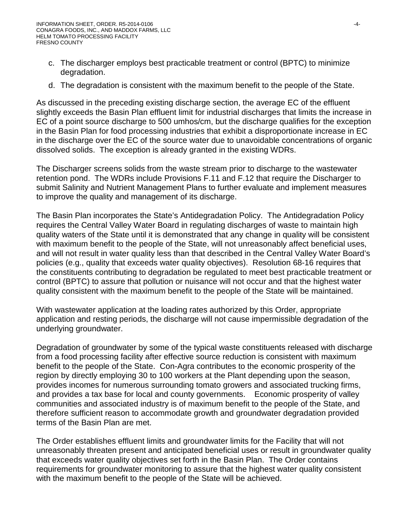- c. The discharger employs best practicable treatment or control (BPTC) to minimize degradation.
- d. The degradation is consistent with the maximum benefit to the people of the State.

As discussed in the preceding existing discharge section, the average EC of the effluent slightly exceeds the Basin Plan effluent limit for industrial discharges that limits the increase in EC of a point source discharge to 500 umhos/cm, but the discharge qualifies for the exception in the Basin Plan for food processing industries that exhibit a disproportionate increase in EC in the discharge over the EC of the source water due to unavoidable concentrations of organic dissolved solids. The exception is already granted in the existing WDRs.

The Discharger screens solids from the waste stream prior to discharge to the wastewater retention pond. The WDRs include Provisions F.11 and F.12 that require the Discharger to submit Salinity and Nutrient Management Plans to further evaluate and implement measures to improve the quality and management of its discharge.

The Basin Plan incorporates the State's Antidegradation Policy. The Antidegradation Policy requires the Central Valley Water Board in regulating discharges of waste to maintain high quality waters of the State until it is demonstrated that any change in quality will be consistent with maximum benefit to the people of the State, will not unreasonably affect beneficial uses, and will not result in water quality less than that described in the Central Valley Water Board's policies (e.g., quality that exceeds water quality objectives). Resolution 68-16 requires that the constituents contributing to degradation be regulated to meet best practicable treatment or control (BPTC) to assure that pollution or nuisance will not occur and that the highest water quality consistent with the maximum benefit to the people of the State will be maintained.

With wastewater application at the loading rates authorized by this Order, appropriate application and resting periods, the discharge will not cause impermissible degradation of the underlying groundwater.

Degradation of groundwater by some of the typical waste constituents released with discharge from a food processing facility after effective source reduction is consistent with maximum benefit to the people of the State. Con-Agra contributes to the economic prosperity of the region by directly employing 30 to 100 workers at the Plant depending upon the season, provides incomes for numerous surrounding tomato growers and associated trucking firms, and provides a tax base for local and county governments. Economic prosperity of valley communities and associated industry is of maximum benefit to the people of the State, and therefore sufficient reason to accommodate growth and groundwater degradation provided terms of the Basin Plan are met.

The Order establishes effluent limits and groundwater limits for the Facility that will not unreasonably threaten present and anticipated beneficial uses or result in groundwater quality that exceeds water quality objectives set forth in the Basin Plan. The Order contains requirements for groundwater monitoring to assure that the highest water quality consistent with the maximum benefit to the people of the State will be achieved.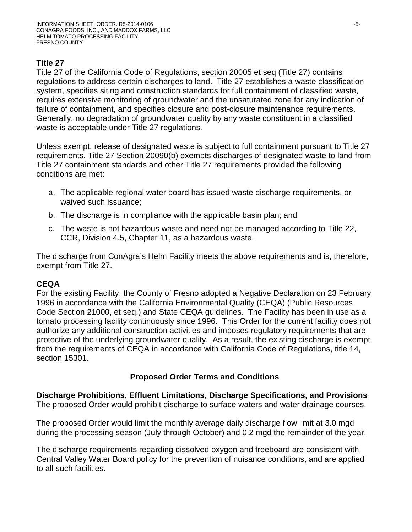# **Title 27**

Title 27 of the California Code of Regulations, section 20005 et seq (Title 27) contains regulations to address certain discharges to land. Title 27 establishes a waste classification system, specifies siting and construction standards for full containment of classified waste, requires extensive monitoring of groundwater and the unsaturated zone for any indication of failure of containment, and specifies closure and post-closure maintenance requirements. Generally, no degradation of groundwater quality by any waste constituent in a classified waste is acceptable under Title 27 regulations.

Unless exempt, release of designated waste is subject to full containment pursuant to Title 27 requirements. Title 27 Section 20090(b) exempts discharges of designated waste to land from Title 27 containment standards and other Title 27 requirements provided the following conditions are met:

- a. The applicable regional water board has issued waste discharge requirements, or waived such issuance;
- b. The discharge is in compliance with the applicable basin plan; and
- c. The waste is not hazardous waste and need not be managed according to Title 22, CCR, Division 4.5, Chapter 11, as a hazardous waste.

The discharge from ConAgra's Helm Facility meets the above requirements and is, therefore, exempt from Title 27.

# **CEQA**

For the existing Facility, the County of Fresno adopted a Negative Declaration on 23 February 1996 in accordance with the California Environmental Quality (CEQA) (Public Resources Code Section 21000, et seq.) and State CEQA guidelines. The Facility has been in use as a tomato processing facility continuously since 1996. This Order for the current facility does not authorize any additional construction activities and imposes regulatory requirements that are protective of the underlying groundwater quality. As a result, the existing discharge is exempt from the requirements of CEQA in accordance with California Code of Regulations, title 14, section 15301.

# **Proposed Order Terms and Conditions**

**Discharge Prohibitions, Effluent Limitations, Discharge Specifications, and Provisions** The proposed Order would prohibit discharge to surface waters and water drainage courses.

The proposed Order would limit the monthly average daily discharge flow limit at 3.0 mgd during the processing season (July through October) and 0.2 mgd the remainder of the year.

The discharge requirements regarding dissolved oxygen and freeboard are consistent with Central Valley Water Board policy for the prevention of nuisance conditions, and are applied to all such facilities.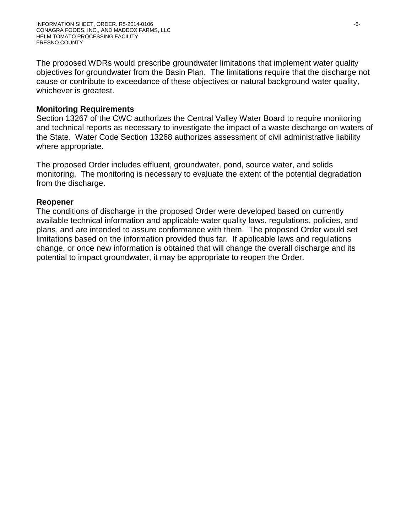The proposed WDRs would prescribe groundwater limitations that implement water quality objectives for groundwater from the Basin Plan. The limitations require that the discharge not cause or contribute to exceedance of these objectives or natural background water quality, whichever is greatest.

#### **Monitoring Requirements**

Section 13267 of the CWC authorizes the Central Valley Water Board to require monitoring and technical reports as necessary to investigate the impact of a waste discharge on waters of the State. Water Code Section 13268 authorizes assessment of civil administrative liability where appropriate.

The proposed Order includes effluent, groundwater, pond, source water, and solids monitoring. The monitoring is necessary to evaluate the extent of the potential degradation from the discharge.

### **Reopener**

The conditions of discharge in the proposed Order were developed based on currently available technical information and applicable water quality laws, regulations, policies, and plans, and are intended to assure conformance with them. The proposed Order would set limitations based on the information provided thus far. If applicable laws and regulations change, or once new information is obtained that will change the overall discharge and its potential to impact groundwater, it may be appropriate to reopen the Order.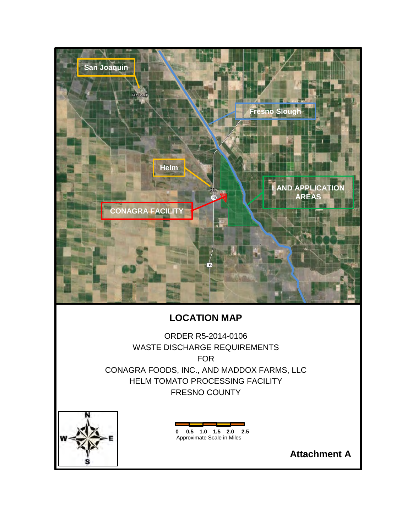

# **LOCATION MAP**

ORDER R5-2014-0106 WASTE DISCHARGE REQUIREMENTS FOR CONAGRA FOODS, INC., AND MADDOX FARMS, LLC HELM TOMATO PROCESSING FACILITY FRESNO COUNTY



**0 0.5 1.0 1.5 2.0 2.5** Approximate Scale in Miles

**Attachment A**